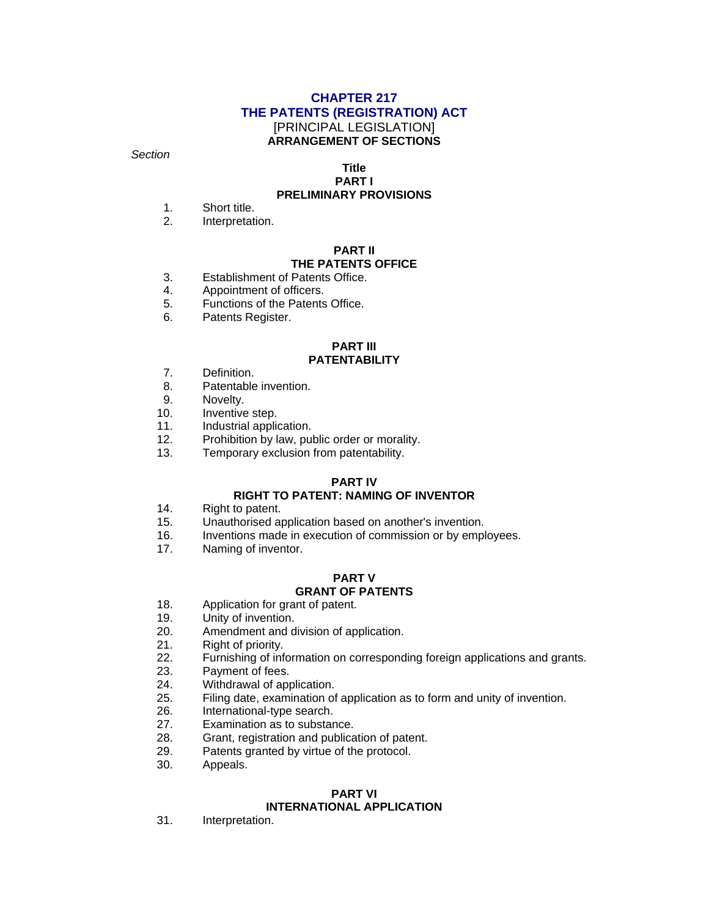#### **CHAPTER 217 THE PATENTS (REGISTRATION) ACT**  [PRINCIPAL LEGISLATION] **ARRANGEMENT OF SECTIONS**

*Section* 

## **Title**

#### **PART I PRELIMINARY PROVISIONS**

#### 1. Short title.

2. Interpretation.

#### **PART II THE PATENTS OFFICE**

- 3. Establishment of Patents Office.
- 4. Appointment of officers.
- 5. Functions of the Patents Office.
- 6. Patents Register.

#### **PART III PATENTABILITY**

- 7. Definition.
- 8. Patentable invention.
- 9. Novelty.
- 10. Inventive step.
- 11. Industrial application.
- 12. Prohibition by law, public order or morality.
- 13. Temporary exclusion from patentability.

#### **PART IV**

#### **RIGHT TO PATENT: NAMING OF INVENTOR**

- 14. Right to patent.
- 15. Unauthorised application based on another's invention.
- 16. Inventions made in execution of commission or by employees.
- 17. Naming of inventor.

## **PART V**

## **GRANT OF PATENTS**

- 18. Application for grant of patent.
- 19. Unity of invention.
- 20. Amendment and division of application.
- 21. Right of priority.
- 22. Furnishing of information on corresponding foreign applications and grants.
- 23. Payment of fees.
- 24. Withdrawal of application.
- 25. Filing date, examination of application as to form and unity of invention.
- 26. International-type search.
- 27. Examination as to substance.
- 28. Grant, registration and publication of patent.
- 29. Patents granted by virtue of the protocol.
- 30. Appeals.

#### **PART VI INTERNATIONAL APPLICATION**

31. Interpretation.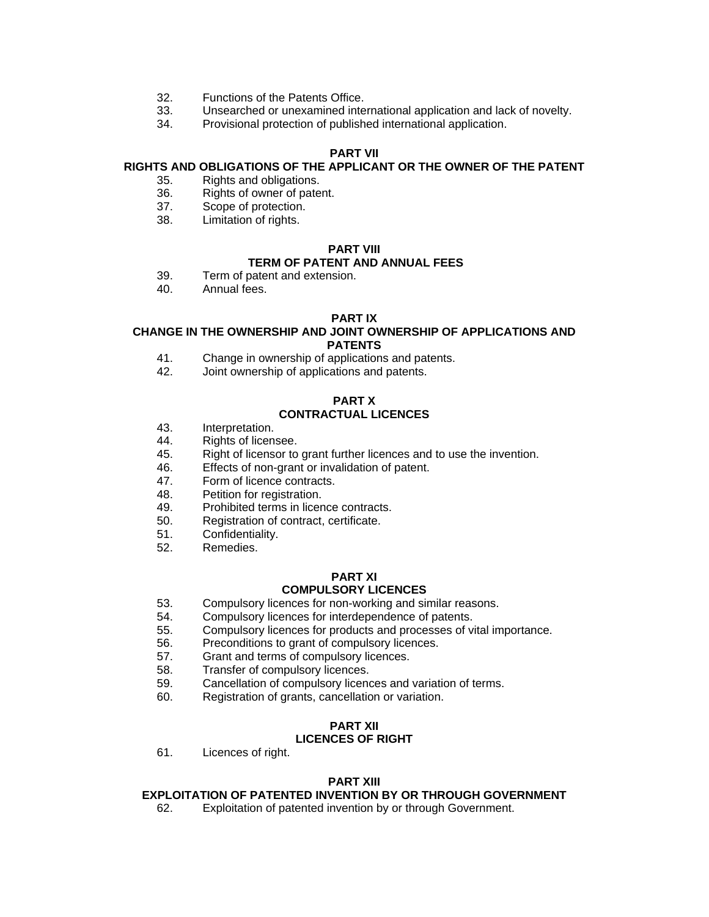- 32. Functions of the Patents Office.
- 33. Unsearched or unexamined international application and lack of novelty.
- 34. Provisional protection of published international application.

#### **PART VII**

#### **RIGHTS AND OBLIGATIONS OF THE APPLICANT OR THE OWNER OF THE PATENT**

- 35. Rights and obligations.
- 36. Rights of owner of patent.
- 37. Scope of protection.
- 38. Limitation of rights.

#### **PART VIII**

### **TERM OF PATENT AND ANNUAL FEES**

- 39. Term of patent and extension.
- 40. Annual fees.

#### **PART IX**

#### **CHANGE IN THE OWNERSHIP AND JOINT OWNERSHIP OF APPLICATIONS AND PATENTS**

- 41. Change in ownership of applications and patents.
- 42. Joint ownership of applications and patents.

## **PART X**

## **CONTRACTUAL LICENCES**

- 43. Interpretation.
- 44. Rights of licensee.
- 45. Right of licensor to grant further licences and to use the invention.
- 46. Effects of non-grant or invalidation of patent.
- 47. Form of licence contracts.
- 48. Petition for registration.
- 49. Prohibited terms in licence contracts.
- 50. Registration of contract, certificate.
- 51. Confidentiality.
- 52. Remedies.

#### **PART XI COMPULSORY LICENCES**

- 53. Compulsory licences for non-working and similar reasons.
- 54. Compulsory licences for interdependence of patents.
- 55. Compulsory licences for products and processes of vital importance.
- 56. Preconditions to grant of compulsory licences.
- 57. Grant and terms of compulsory licences.
- 58. Transfer of compulsory licences.
- 59. Cancellation of compulsory licences and variation of terms.
- 60. Registration of grants, cancellation or variation.

#### **PART XII LICENCES OF RIGHT**

61. Licences of right.

#### **PART XIII**

#### **EXPLOITATION OF PATENTED INVENTION BY OR THROUGH GOVERNMENT**

62. Exploitation of patented invention by or through Government.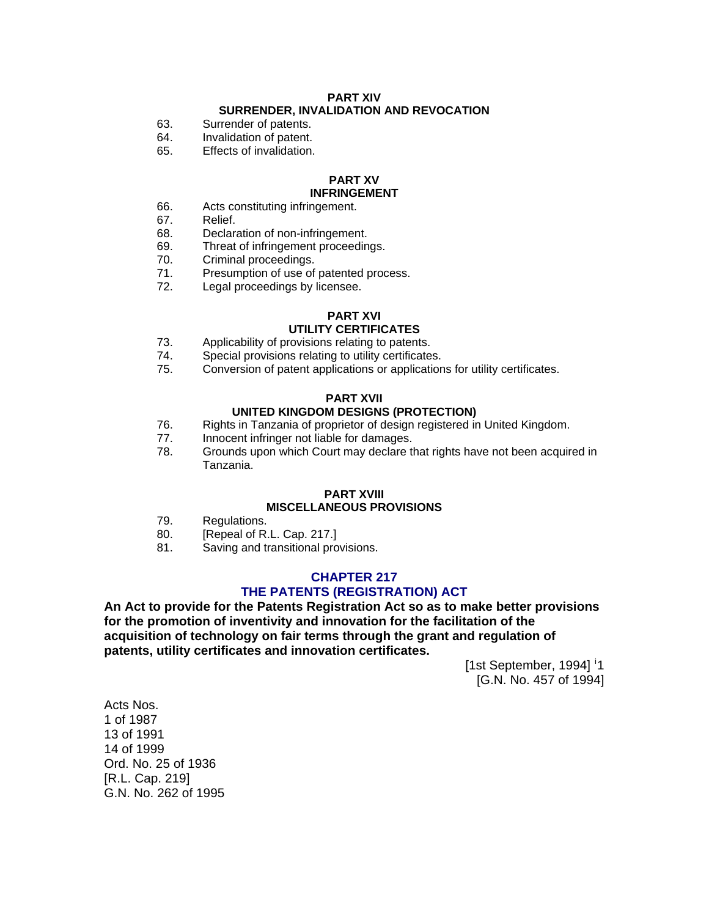#### **PART XIV SURRENDER, INVALIDATION AND REVOCATION**

- 63. Surrender of patents.
- 64. Invalidation of patent.
- 65. Effects of invalidation.

#### **PART XV INFRINGEMENT**

- 66. Acts constituting infringement.
- 67. Relief.
- 68. Declaration of non-infringement.
- 69. Threat of infringement proceedings.
- 70. Criminal proceedings.
- 71. Presumption of use of patented process.
- 72. Legal proceedings by licensee.

#### **PART XVI**

#### **UTILITY CERTIFICATES**

- 73. Applicability of provisions relating to patents.
- 74. Special provisions relating to utility certificates.
- 75. Conversion of patent applications or applications for utility certificates.

#### **PART XVII**

#### **UNITED KINGDOM DESIGNS (PROTECTION)**

- 76. Rights in Tanzania of proprietor of design registered in United Kingdom.
- 77. Innocent infringer not liable for damages.
- 78. Grounds upon which Court may declare that rights have not been acquired in Tanzania.

#### **PART XVIII**

#### **MISCELLANEOUS PROVISIONS**

- 79. Regulations.
- 80. [Repeal of R.L. Cap. 217.]
- 81. Saving and transitional provisions.

#### **CHAPTER 217 THE PATENTS (REGISTRATION) ACT**

**An Act to provide for the Patents Registration Act so as to make better provisions for the promotion of inventivity and innovation for the facilitation of the acquisition of technology on fair terms through the grant and regulation of patents, utility certificates and innovation certificates.** 

[1st September, 1994] <sup>[i](#page-26-0)</sup>1 [G.N. No. 457 of 1994]

Acts Nos. 1 of 1987 13 of 1991 14 of 1999 Ord. No. 25 of 1936 [R.L. Cap. 219] G.N. No. 262 of 1995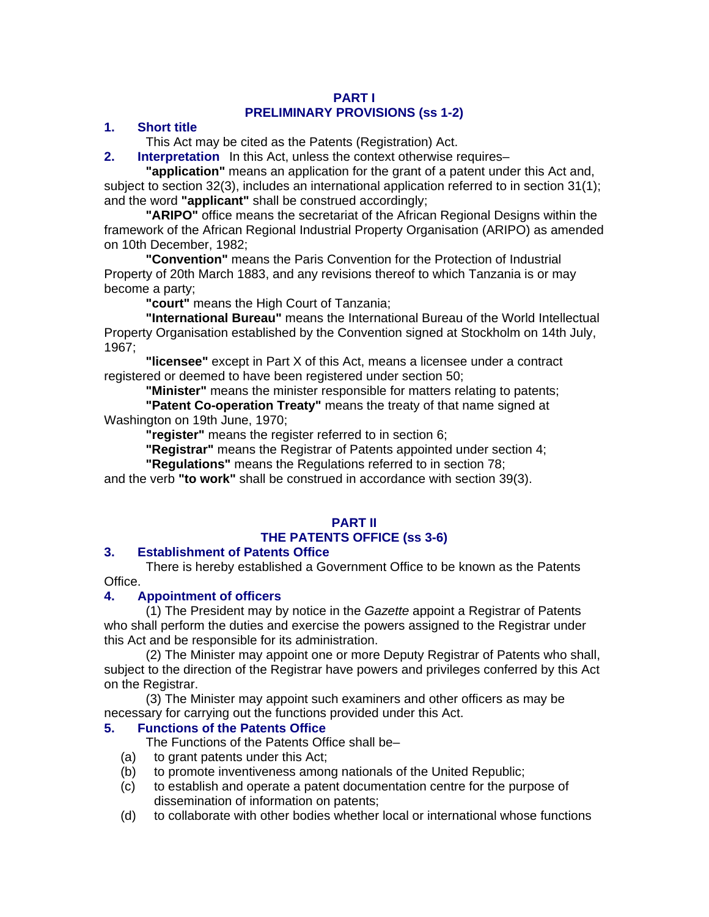## **PART I PRELIMINARY PROVISIONS (ss 1-2)**

## **1. Short title**

This Act may be cited as the Patents (Registration) Act.

**2.** Interpretation In this Act, unless the context otherwise requires–

**"application"** means an application for the grant of a patent under this Act and, subject to section 32(3), includes an international application referred to in section 31(1); and the word **"applicant"** shall be construed accordingly;

**"ARIPO"** office means the secretariat of the African Regional Designs within the framework of the African Regional Industrial Property Organisation (ARIPO) as amended on 10th December, 1982;

**"Convention"** means the Paris Convention for the Protection of Industrial Property of 20th March 1883, and any revisions thereof to which Tanzania is or may become a party;

**"court"** means the High Court of Tanzania;

**"International Bureau"** means the International Bureau of the World Intellectual Property Organisation established by the Convention signed at Stockholm on 14th July, 1967;

**"licensee"** except in Part X of this Act, means a licensee under a contract registered or deemed to have been registered under section 50;

**"Minister"** means the minister responsible for matters relating to patents;

**"Patent Co-operation Treaty"** means the treaty of that name signed at Washington on 19th June, 1970;

**"register"** means the register referred to in section 6;

**"Registrar"** means the Registrar of Patents appointed under section 4;

**"Regulations"** means the Regulations referred to in section 78;

and the verb **"to work"** shall be construed in accordance with section 39(3).

#### **PART II**

## **THE PATENTS OFFICE (ss 3-6)**

## **3. Establishment of Patents Office**

There is hereby established a Government Office to be known as the Patents Office.

## **4. Appointment of officers**

(1) The President may by notice in the *Gazette* appoint a Registrar of Patents who shall perform the duties and exercise the powers assigned to the Registrar under this Act and be responsible for its administration.

(2) The Minister may appoint one or more Deputy Registrar of Patents who shall, subject to the direction of the Registrar have powers and privileges conferred by this Act on the Registrar.

(3) The Minister may appoint such examiners and other officers as may be necessary for carrying out the functions provided under this Act.

## **5. Functions of the Patents Office**

The Functions of the Patents Office shall be–

- (a) to grant patents under this Act;
- (b) to promote inventiveness among nationals of the United Republic;
- (c) to establish and operate a patent documentation centre for the purpose of dissemination of information on patents;
- (d) to collaborate with other bodies whether local or international whose functions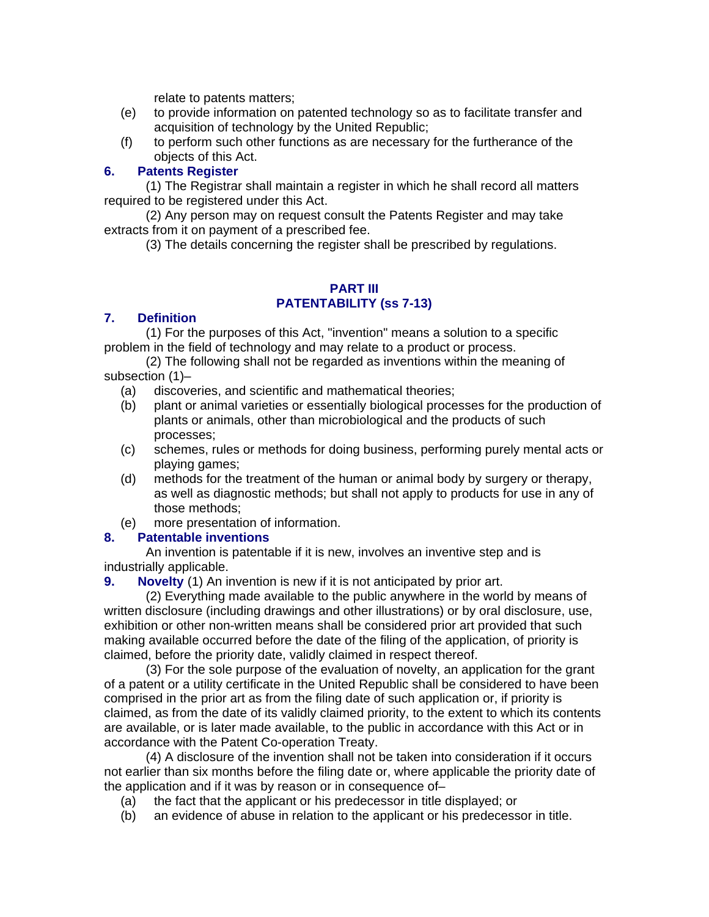relate to patents matters;

- (e) to provide information on patented technology so as to facilitate transfer and acquisition of technology by the United Republic;
- (f) to perform such other functions as are necessary for the furtherance of the objects of this Act.

## **6. Patents Register**

(1) The Registrar shall maintain a register in which he shall record all matters required to be registered under this Act.

(2) Any person may on request consult the Patents Register and may take extracts from it on payment of a prescribed fee.

(3) The details concerning the register shall be prescribed by regulations.

## **PART III PATENTABILITY (ss 7-13)**

## **7. Definition**

(1) For the purposes of this Act, "invention" means a solution to a specific problem in the field of technology and may relate to a product or process.

(2) The following shall not be regarded as inventions within the meaning of subsection (1)–

- (a) discoveries, and scientific and mathematical theories;
- (b) plant or animal varieties or essentially biological processes for the production of plants or animals, other than microbiological and the products of such processes;
- (c) schemes, rules or methods for doing business, performing purely mental acts or playing games;
- (d) methods for the treatment of the human or animal body by surgery or therapy, as well as diagnostic methods; but shall not apply to products for use in any of those methods;
- (e) more presentation of information.

## **8. Patentable inventions**

An invention is patentable if it is new, involves an inventive step and is industrially applicable.

**9.** Novelty (1) An invention is new if it is not anticipated by prior art.

(2) Everything made available to the public anywhere in the world by means of written disclosure (including drawings and other illustrations) or by oral disclosure, use, exhibition or other non-written means shall be considered prior art provided that such making available occurred before the date of the filing of the application, of priority is claimed, before the priority date, validly claimed in respect thereof.

(3) For the sole purpose of the evaluation of novelty, an application for the grant of a patent or a utility certificate in the United Republic shall be considered to have been comprised in the prior art as from the filing date of such application or, if priority is claimed, as from the date of its validly claimed priority, to the extent to which its contents are available, or is later made available, to the public in accordance with this Act or in accordance with the Patent Co-operation Treaty.

(4) A disclosure of the invention shall not be taken into consideration if it occurs not earlier than six months before the filing date or, where applicable the priority date of the application and if it was by reason or in consequence of–

- (a) the fact that the applicant or his predecessor in title displayed; or
- (b) an evidence of abuse in relation to the applicant or his predecessor in title.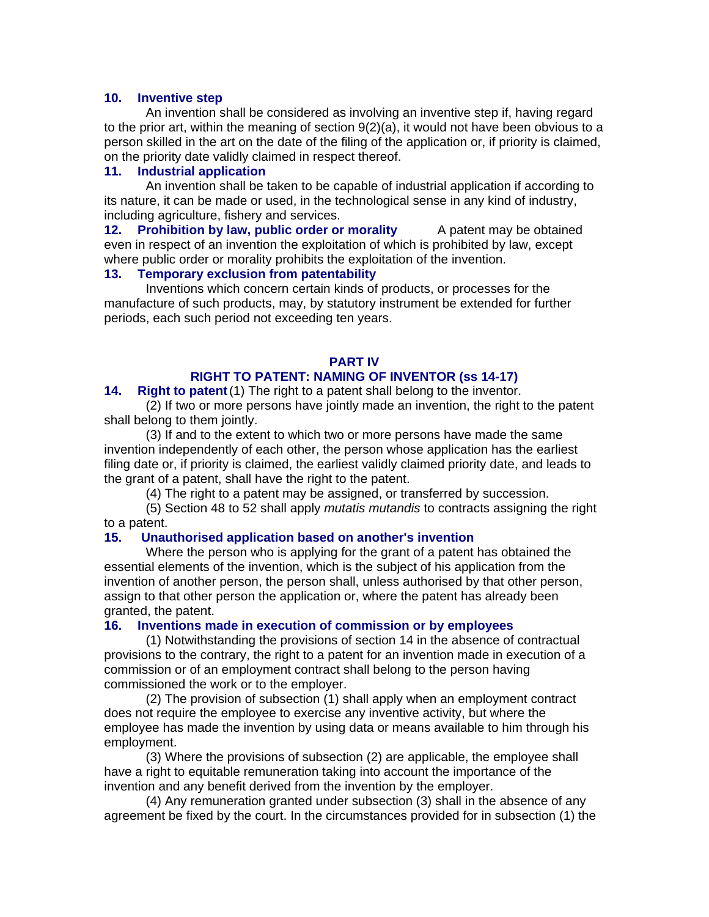#### **10. Inventive step**

An invention shall be considered as involving an inventive step if, having regard to the prior art, within the meaning of section 9(2)(a), it would not have been obvious to a person skilled in the art on the date of the filing of the application or, if priority is claimed, on the priority date validly claimed in respect thereof.

#### **11. Industrial application**

An invention shall be taken to be capable of industrial application if according to its nature, it can be made or used, in the technological sense in any kind of industry, including agriculture, fishery and services.

**12. Prohibition by law, public order or morality** A patent may be obtained even in respect of an invention the exploitation of which is prohibited by law, except where public order or morality prohibits the exploitation of the invention.

#### **13. Temporary exclusion from patentability**

Inventions which concern certain kinds of products, or processes for the manufacture of such products, may, by statutory instrument be extended for further periods, each such period not exceeding ten years.

## **PART IV**

## **RIGHT TO PATENT: NAMING OF INVENTOR (ss 14-17)**

#### **14. Right to patent**(1) The right to a patent shall belong to the inventor.

(2) If two or more persons have jointly made an invention, the right to the patent shall belong to them jointly.

(3) If and to the extent to which two or more persons have made the same invention independently of each other, the person whose application has the earliest filing date or, if priority is claimed, the earliest validly claimed priority date, and leads to the grant of a patent, shall have the right to the patent.

(4) The right to a patent may be assigned, or transferred by succession.

(5) Section 48 to 52 shall apply *mutatis mutandis* to contracts assigning the right to a patent.

#### **15. Unauthorised application based on another's invention**

Where the person who is applying for the grant of a patent has obtained the essential elements of the invention, which is the subject of his application from the invention of another person, the person shall, unless authorised by that other person, assign to that other person the application or, where the patent has already been granted, the patent.

#### **16. Inventions made in execution of commission or by employees**

(1) Notwithstanding the provisions of section 14 in the absence of contractual provisions to the contrary, the right to a patent for an invention made in execution of a commission or of an employment contract shall belong to the person having commissioned the work or to the employer.

(2) The provision of subsection (1) shall apply when an employment contract does not require the employee to exercise any inventive activity, but where the employee has made the invention by using data or means available to him through his employment.

(3) Where the provisions of subsection (2) are applicable, the employee shall have a right to equitable remuneration taking into account the importance of the invention and any benefit derived from the invention by the employer.

(4) Any remuneration granted under subsection (3) shall in the absence of any agreement be fixed by the court. In the circumstances provided for in subsection (1) the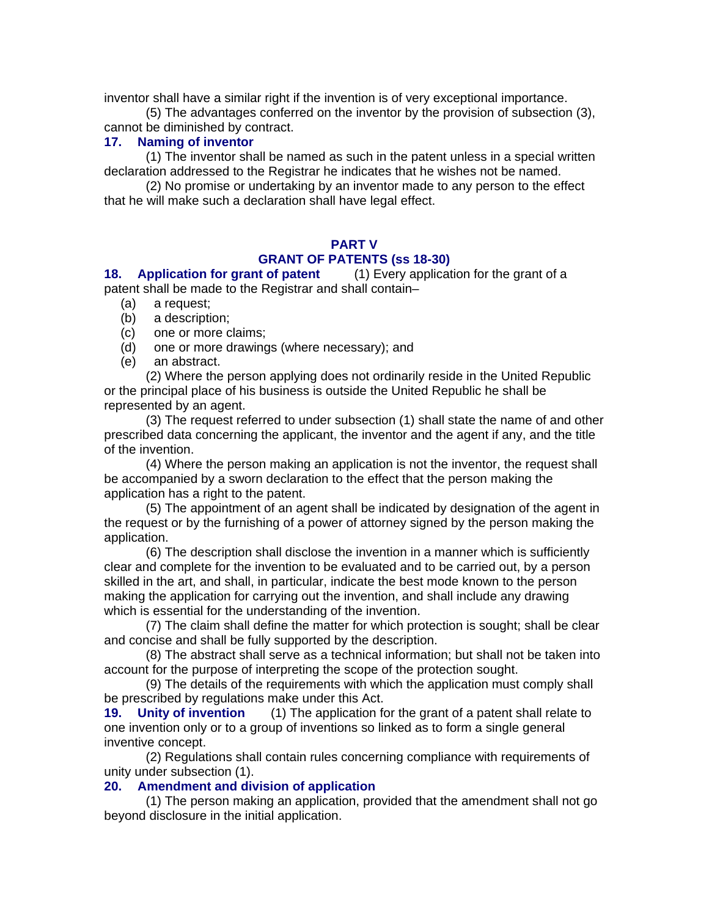inventor shall have a similar right if the invention is of very exceptional importance.

(5) The advantages conferred on the inventor by the provision of subsection (3), cannot be diminished by contract.

## **17. Naming of inventor**

(1) The inventor shall be named as such in the patent unless in a special written declaration addressed to the Registrar he indicates that he wishes not be named.

(2) No promise or undertaking by an inventor made to any person to the effect that he will make such a declaration shall have legal effect.

## **PART V GRANT OF PATENTS (ss 18-30)**

**18. Application for grant of patent** (1) Every application for the grant of a patent shall be made to the Registrar and shall contain–

- (a) a request;
- (b) a description;
- (c) one or more claims;
- (d) one or more drawings (where necessary); and
- (e) an abstract.

(2) Where the person applying does not ordinarily reside in the United Republic or the principal place of his business is outside the United Republic he shall be represented by an agent.

(3) The request referred to under subsection (1) shall state the name of and other prescribed data concerning the applicant, the inventor and the agent if any, and the title of the invention.

(4) Where the person making an application is not the inventor, the request shall be accompanied by a sworn declaration to the effect that the person making the application has a right to the patent.

(5) The appointment of an agent shall be indicated by designation of the agent in the request or by the furnishing of a power of attorney signed by the person making the application.

(6) The description shall disclose the invention in a manner which is sufficiently clear and complete for the invention to be evaluated and to be carried out, by a person skilled in the art, and shall, in particular, indicate the best mode known to the person making the application for carrying out the invention, and shall include any drawing which is essential for the understanding of the invention.

(7) The claim shall define the matter for which protection is sought; shall be clear and concise and shall be fully supported by the description.

(8) The abstract shall serve as a technical information; but shall not be taken into account for the purpose of interpreting the scope of the protection sought.

(9) The details of the requirements with which the application must comply shall be prescribed by regulations make under this Act.

**19. Unity of invention** (1) The application for the grant of a patent shall relate to one invention only or to a group of inventions so linked as to form a single general inventive concept.

(2) Regulations shall contain rules concerning compliance with requirements of unity under subsection (1).

## **20. Amendment and division of application**

(1) The person making an application, provided that the amendment shall not go beyond disclosure in the initial application.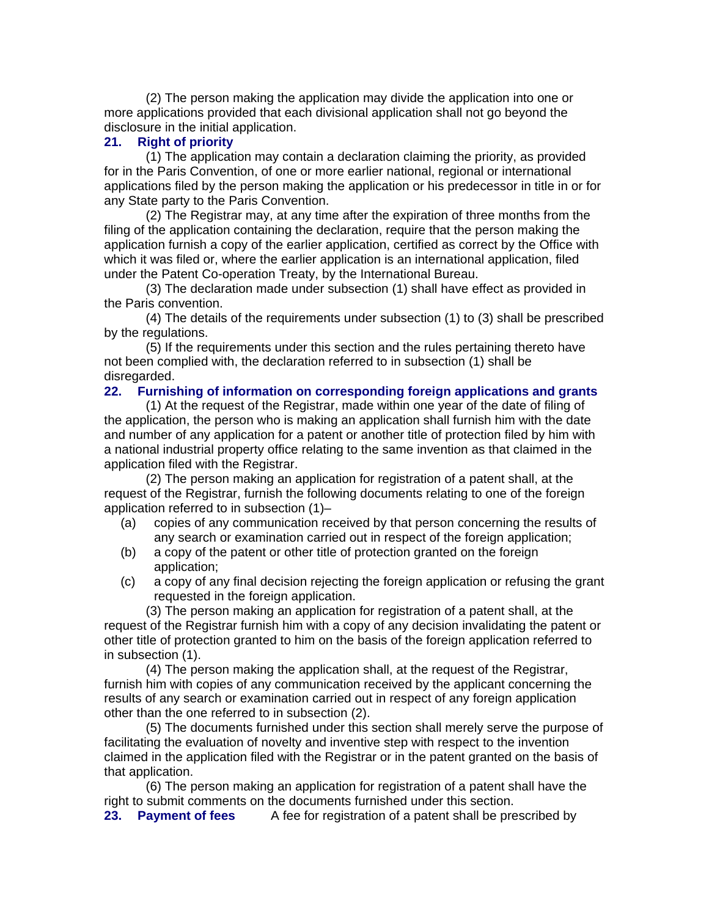(2) The person making the application may divide the application into one or more applications provided that each divisional application shall not go beyond the disclosure in the initial application.

#### **21. Right of priority**

(1) The application may contain a declaration claiming the priority, as provided for in the Paris Convention, of one or more earlier national, regional or international applications filed by the person making the application or his predecessor in title in or for any State party to the Paris Convention.

(2) The Registrar may, at any time after the expiration of three months from the filing of the application containing the declaration, require that the person making the application furnish a copy of the earlier application, certified as correct by the Office with which it was filed or, where the earlier application is an international application, filed under the Patent Co-operation Treaty, by the International Bureau.

(3) The declaration made under subsection (1) shall have effect as provided in the Paris convention.

(4) The details of the requirements under subsection (1) to (3) shall be prescribed by the regulations.

(5) If the requirements under this section and the rules pertaining thereto have not been complied with, the declaration referred to in subsection (1) shall be disregarded.

#### **22. Furnishing of information on corresponding foreign applications and grants**

(1) At the request of the Registrar, made within one year of the date of filing of the application, the person who is making an application shall furnish him with the date and number of any application for a patent or another title of protection filed by him with a national industrial property office relating to the same invention as that claimed in the application filed with the Registrar.

(2) The person making an application for registration of a patent shall, at the request of the Registrar, furnish the following documents relating to one of the foreign application referred to in subsection (1)–

- (a) copies of any communication received by that person concerning the results of any search or examination carried out in respect of the foreign application;
- (b) a copy of the patent or other title of protection granted on the foreign application;
- (c) a copy of any final decision rejecting the foreign application or refusing the grant requested in the foreign application.

(3) The person making an application for registration of a patent shall, at the request of the Registrar furnish him with a copy of any decision invalidating the patent or other title of protection granted to him on the basis of the foreign application referred to in subsection (1).

(4) The person making the application shall, at the request of the Registrar, furnish him with copies of any communication received by the applicant concerning the results of any search or examination carried out in respect of any foreign application other than the one referred to in subsection (2).

(5) The documents furnished under this section shall merely serve the purpose of facilitating the evaluation of novelty and inventive step with respect to the invention claimed in the application filed with the Registrar or in the patent granted on the basis of that application.

(6) The person making an application for registration of a patent shall have the right to submit comments on the documents furnished under this section.

**23. Payment of fees** A fee for registration of a patent shall be prescribed by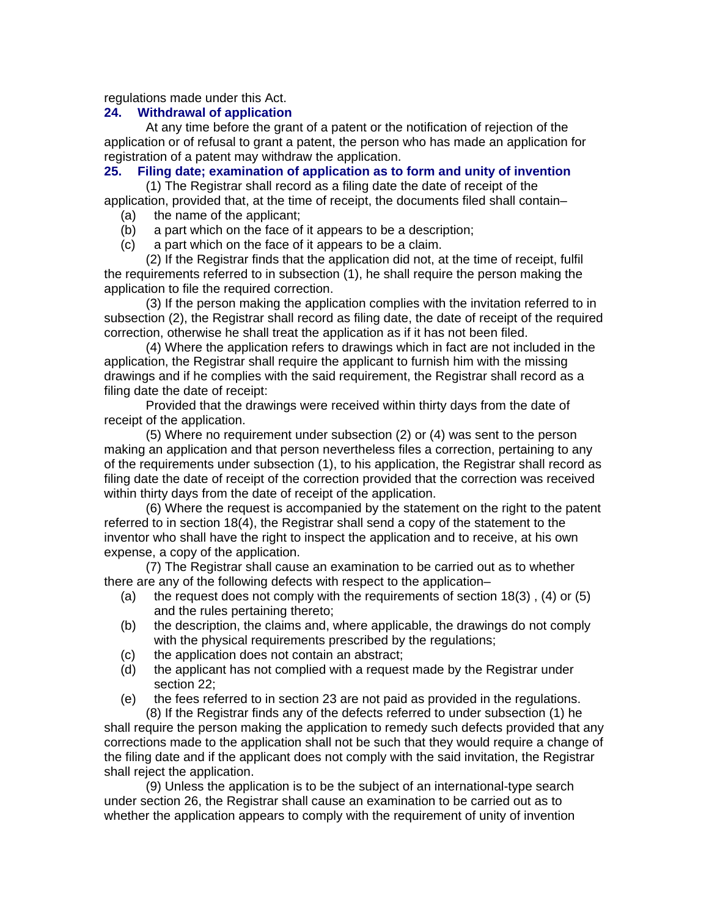regulations made under this Act.

#### **24. Withdrawal of application**

At any time before the grant of a patent or the notification of rejection of the application or of refusal to grant a patent, the person who has made an application for registration of a patent may withdraw the application.

## **25. Filing date; examination of application as to form and unity of invention**

(1) The Registrar shall record as a filing date the date of receipt of the application, provided that, at the time of receipt, the documents filed shall contain–

- (a) the name of the applicant;
- (b) a part which on the face of it appears to be a description;
- (c) a part which on the face of it appears to be a claim.

(2) If the Registrar finds that the application did not, at the time of receipt, fulfil the requirements referred to in subsection (1), he shall require the person making the application to file the required correction.

(3) If the person making the application complies with the invitation referred to in subsection (2), the Registrar shall record as filing date, the date of receipt of the required correction, otherwise he shall treat the application as if it has not been filed.

(4) Where the application refers to drawings which in fact are not included in the application, the Registrar shall require the applicant to furnish him with the missing drawings and if he complies with the said requirement, the Registrar shall record as a filing date the date of receipt:

Provided that the drawings were received within thirty days from the date of receipt of the application.

(5) Where no requirement under subsection (2) or (4) was sent to the person making an application and that person nevertheless files a correction, pertaining to any of the requirements under subsection (1), to his application, the Registrar shall record as filing date the date of receipt of the correction provided that the correction was received within thirty days from the date of receipt of the application.

(6) Where the request is accompanied by the statement on the right to the patent referred to in section 18(4), the Registrar shall send a copy of the statement to the inventor who shall have the right to inspect the application and to receive, at his own expense, a copy of the application.

(7) The Registrar shall cause an examination to be carried out as to whether there are any of the following defects with respect to the application–

- (a) the request does not comply with the requirements of section  $18(3)$ ,  $(4)$  or  $(5)$ and the rules pertaining thereto;
- (b) the description, the claims and, where applicable, the drawings do not comply with the physical requirements prescribed by the regulations;
- (c) the application does not contain an abstract;
- (d) the applicant has not complied with a request made by the Registrar under section 22;
- (e) the fees referred to in section 23 are not paid as provided in the regulations.

(8) If the Registrar finds any of the defects referred to under subsection (1) he shall require the person making the application to remedy such defects provided that any corrections made to the application shall not be such that they would require a change of the filing date and if the applicant does not comply with the said invitation, the Registrar shall reject the application.

(9) Unless the application is to be the subject of an international-type search under section 26, the Registrar shall cause an examination to be carried out as to whether the application appears to comply with the requirement of unity of invention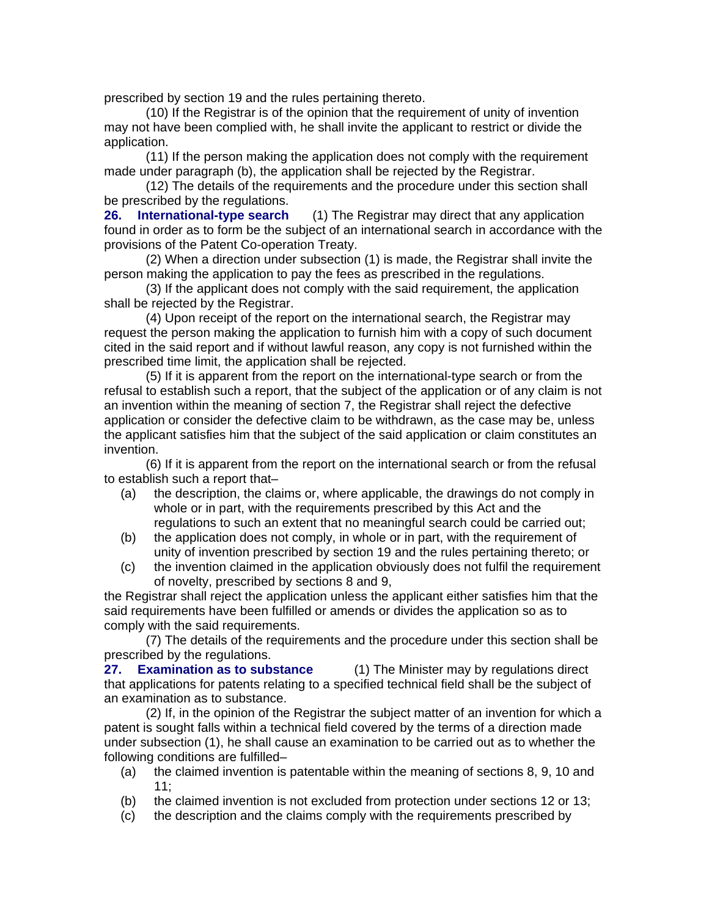prescribed by section 19 and the rules pertaining thereto.

(10) If the Registrar is of the opinion that the requirement of unity of invention may not have been complied with, he shall invite the applicant to restrict or divide the application.

(11) If the person making the application does not comply with the requirement made under paragraph (b), the application shall be rejected by the Registrar.

(12) The details of the requirements and the procedure under this section shall be prescribed by the regulations.

**26. International-type search** (1) The Registrar may direct that any application found in order as to form be the subject of an international search in accordance with the provisions of the Patent Co-operation Treaty.

(2) When a direction under subsection (1) is made, the Registrar shall invite the person making the application to pay the fees as prescribed in the regulations.

(3) If the applicant does not comply with the said requirement, the application shall be rejected by the Registrar.

(4) Upon receipt of the report on the international search, the Registrar may request the person making the application to furnish him with a copy of such document cited in the said report and if without lawful reason, any copy is not furnished within the prescribed time limit, the application shall be rejected.

(5) If it is apparent from the report on the international-type search or from the refusal to establish such a report, that the subject of the application or of any claim is not an invention within the meaning of section 7, the Registrar shall reject the defective application or consider the defective claim to be withdrawn, as the case may be, unless the applicant satisfies him that the subject of the said application or claim constitutes an invention.

(6) If it is apparent from the report on the international search or from the refusal to establish such a report that–

- (a) the description, the claims or, where applicable, the drawings do not comply in whole or in part, with the requirements prescribed by this Act and the regulations to such an extent that no meaningful search could be carried out;
- (b) the application does not comply, in whole or in part, with the requirement of unity of invention prescribed by section 19 and the rules pertaining thereto; or
- (c) the invention claimed in the application obviously does not fulfil the requirement of novelty, prescribed by sections 8 and 9,

the Registrar shall reject the application unless the applicant either satisfies him that the said requirements have been fulfilled or amends or divides the application so as to comply with the said requirements.

(7) The details of the requirements and the procedure under this section shall be prescribed by the regulations.

**27. Examination as to substance** (1) The Minister may by regulations direct that applications for patents relating to a specified technical field shall be the subject of an examination as to substance.

(2) If, in the opinion of the Registrar the subject matter of an invention for which a patent is sought falls within a technical field covered by the terms of a direction made under subsection (1), he shall cause an examination to be carried out as to whether the following conditions are fulfilled–

- (a) the claimed invention is patentable within the meaning of sections 8, 9, 10 and 11;
- (b) the claimed invention is not excluded from protection under sections 12 or 13;
- (c) the description and the claims comply with the requirements prescribed by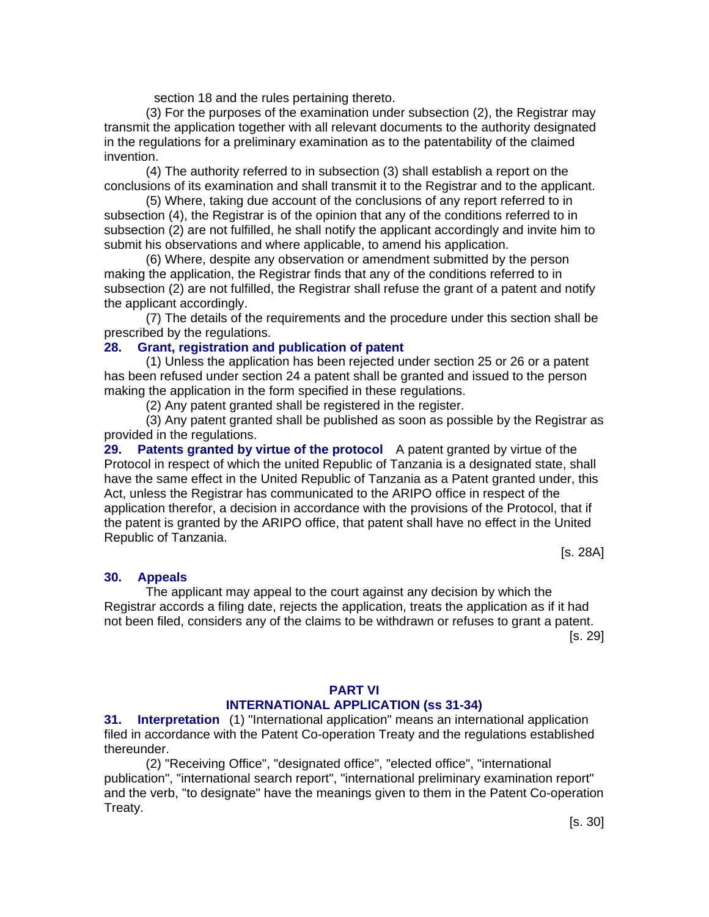section 18 and the rules pertaining thereto.

(3) For the purposes of the examination under subsection (2), the Registrar may transmit the application together with all relevant documents to the authority designated in the regulations for a preliminary examination as to the patentability of the claimed invention.

(4) The authority referred to in subsection (3) shall establish a report on the conclusions of its examination and shall transmit it to the Registrar and to the applicant.

(5) Where, taking due account of the conclusions of any report referred to in subsection (4), the Registrar is of the opinion that any of the conditions referred to in subsection (2) are not fulfilled, he shall notify the applicant accordingly and invite him to submit his observations and where applicable, to amend his application.

(6) Where, despite any observation or amendment submitted by the person making the application, the Registrar finds that any of the conditions referred to in subsection (2) are not fulfilled, the Registrar shall refuse the grant of a patent and notify the applicant accordingly.

(7) The details of the requirements and the procedure under this section shall be prescribed by the regulations.

#### **28. Grant, registration and publication of patent**

(1) Unless the application has been rejected under section 25 or 26 or a patent has been refused under section 24 a patent shall be granted and issued to the person making the application in the form specified in these regulations.

(2) Any patent granted shall be registered in the register.

(3) Any patent granted shall be published as soon as possible by the Registrar as provided in the regulations.

**29. Patents granted by virtue of the protocol** A patent granted by virtue of the Protocol in respect of which the united Republic of Tanzania is a designated state, shall have the same effect in the United Republic of Tanzania as a Patent granted under, this Act, unless the Registrar has communicated to the ARIPO office in respect of the application therefor, a decision in accordance with the provisions of the Protocol, that if the patent is granted by the ARIPO office, that patent shall have no effect in the United Republic of Tanzania.

[s. 28A]

#### **30. Appeals**

The applicant may appeal to the court against any decision by which the Registrar accords a filing date, rejects the application, treats the application as if it had not been filed, considers any of the claims to be withdrawn or refuses to grant a patent.

[s. 29]

#### **PART VI INTERNATIONAL APPLICATION (ss 31-34)**

**31. Interpretation** (1) "International application" means an international application filed in accordance with the Patent Co-operation Treaty and the regulations established thereunder.

(2) "Receiving Office", "designated office", "elected office", "international publication", "international search report", "international preliminary examination report" and the verb, "to designate" have the meanings given to them in the Patent Co-operation Treaty.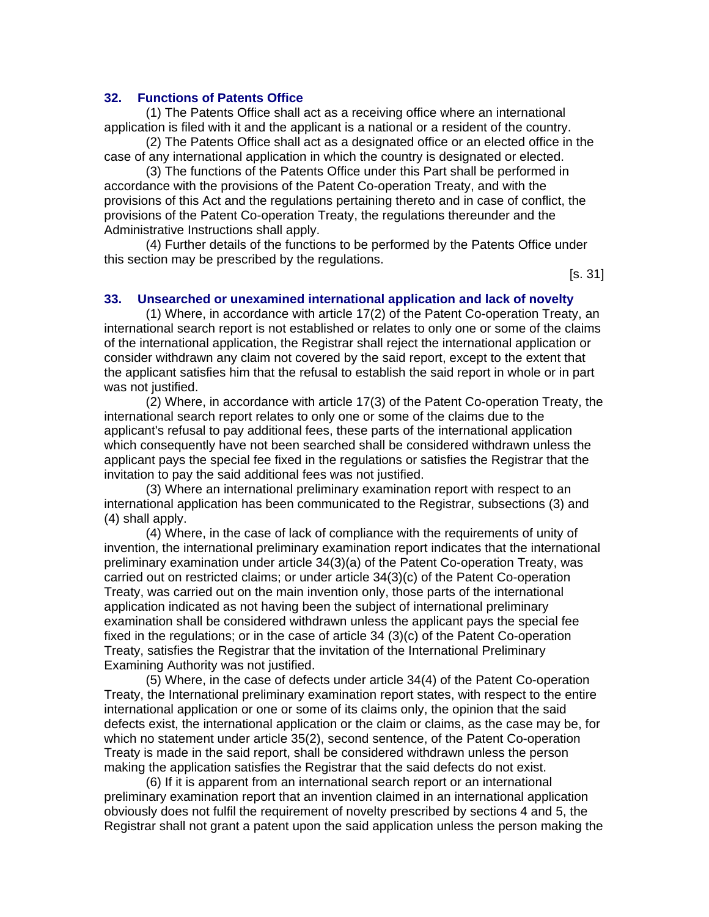#### **32. Functions of Patents Office**

(1) The Patents Office shall act as a receiving office where an international application is filed with it and the applicant is a national or a resident of the country.

(2) The Patents Office shall act as a designated office or an elected office in the case of any international application in which the country is designated or elected.

(3) The functions of the Patents Office under this Part shall be performed in accordance with the provisions of the Patent Co-operation Treaty, and with the provisions of this Act and the regulations pertaining thereto and in case of conflict, the provisions of the Patent Co-operation Treaty, the regulations thereunder and the Administrative Instructions shall apply.

(4) Further details of the functions to be performed by the Patents Office under this section may be prescribed by the regulations.

[s. 31]

#### **33. Unsearched or unexamined international application and lack of novelty**

(1) Where, in accordance with article 17(2) of the Patent Co-operation Treaty, an international search report is not established or relates to only one or some of the claims of the international application, the Registrar shall reject the international application or consider withdrawn any claim not covered by the said report, except to the extent that the applicant satisfies him that the refusal to establish the said report in whole or in part was not justified.

(2) Where, in accordance with article 17(3) of the Patent Co-operation Treaty, the international search report relates to only one or some of the claims due to the applicant's refusal to pay additional fees, these parts of the international application which consequently have not been searched shall be considered withdrawn unless the applicant pays the special fee fixed in the regulations or satisfies the Registrar that the invitation to pay the said additional fees was not justified.

(3) Where an international preliminary examination report with respect to an international application has been communicated to the Registrar, subsections (3) and (4) shall apply.

(4) Where, in the case of lack of compliance with the requirements of unity of invention, the international preliminary examination report indicates that the international preliminary examination under article 34(3)(a) of the Patent Co-operation Treaty, was carried out on restricted claims; or under article 34(3)(c) of the Patent Co-operation Treaty, was carried out on the main invention only, those parts of the international application indicated as not having been the subject of international preliminary examination shall be considered withdrawn unless the applicant pays the special fee fixed in the regulations; or in the case of article 34 (3)(c) of the Patent Co-operation Treaty, satisfies the Registrar that the invitation of the International Preliminary Examining Authority was not justified.

(5) Where, in the case of defects under article 34(4) of the Patent Co-operation Treaty, the International preliminary examination report states, with respect to the entire international application or one or some of its claims only, the opinion that the said defects exist, the international application or the claim or claims, as the case may be, for which no statement under article 35(2), second sentence, of the Patent Co-operation Treaty is made in the said report, shall be considered withdrawn unless the person making the application satisfies the Registrar that the said defects do not exist.

(6) If it is apparent from an international search report or an international preliminary examination report that an invention claimed in an international application obviously does not fulfil the requirement of novelty prescribed by sections 4 and 5, the Registrar shall not grant a patent upon the said application unless the person making the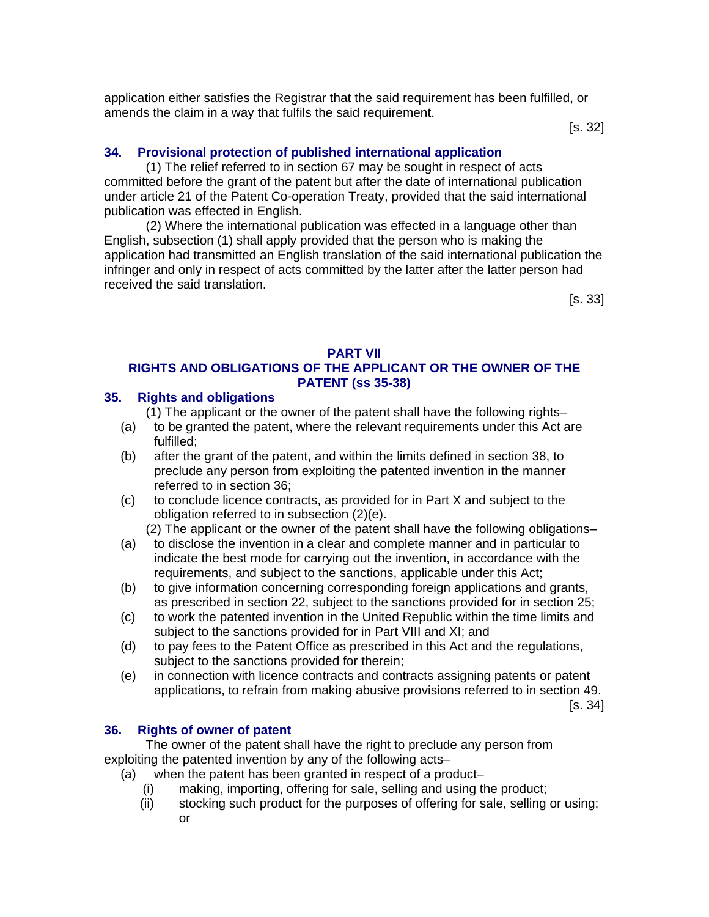application either satisfies the Registrar that the said requirement has been fulfilled, or amends the claim in a way that fulfils the said requirement.

[s. 32]

## **34. Provisional protection of published international application**

(1) The relief referred to in section 67 may be sought in respect of acts committed before the grant of the patent but after the date of international publication under article 21 of the Patent Co-operation Treaty, provided that the said international publication was effected in English.

(2) Where the international publication was effected in a language other than English, subsection (1) shall apply provided that the person who is making the application had transmitted an English translation of the said international publication the infringer and only in respect of acts committed by the latter after the latter person had received the said translation.

[s. 33]

#### **PART VII**

## **RIGHTS AND OBLIGATIONS OF THE APPLICANT OR THE OWNER OF THE PATENT (ss 35-38)**

## **35. Rights and obligations**

- (1) The applicant or the owner of the patent shall have the following rights–
- (a) to be granted the patent, where the relevant requirements under this Act are fulfilled;
- (b) after the grant of the patent, and within the limits defined in section 38, to preclude any person from exploiting the patented invention in the manner referred to in section 36;
- (c) to conclude licence contracts, as provided for in Part X and subject to the obligation referred to in subsection (2)(e).
	- (2) The applicant or the owner of the patent shall have the following obligations–
- (a) to disclose the invention in a clear and complete manner and in particular to indicate the best mode for carrying out the invention, in accordance with the requirements, and subject to the sanctions, applicable under this Act;
- (b) to give information concerning corresponding foreign applications and grants, as prescribed in section 22, subject to the sanctions provided for in section 25;
- (c) to work the patented invention in the United Republic within the time limits and subject to the sanctions provided for in Part VIII and XI; and
- (d) to pay fees to the Patent Office as prescribed in this Act and the regulations, subject to the sanctions provided for therein;
- (e) in connection with licence contracts and contracts assigning patents or patent applications, to refrain from making abusive provisions referred to in section 49.

[s. 34]

## **36. Rights of owner of patent**

The owner of the patent shall have the right to preclude any person from exploiting the patented invention by any of the following acts–

- (a) when the patent has been granted in respect of a product–
	- making, importing, offering for sale, selling and using the product;
	- (ii) stocking such product for the purposes of offering for sale, selling or using; or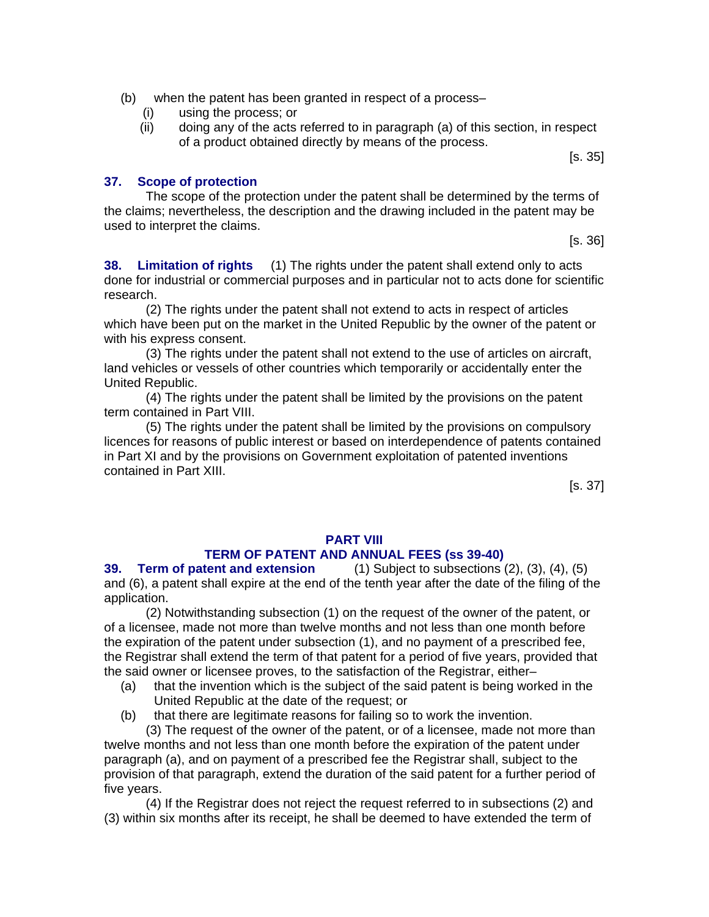- (b) when the patent has been granted in respect of a process–
	- (i) using the process; or
	- (ii) doing any of the acts referred to in paragraph (a) of this section, in respect of a product obtained directly by means of the process.

[s. 35]

#### **37. Scope of protection**

The scope of the protection under the patent shall be determined by the terms of the claims; nevertheless, the description and the drawing included in the patent may be used to interpret the claims.

[s. 36]

**38. Limitation of rights** (1) The rights under the patent shall extend only to acts done for industrial or commercial purposes and in particular not to acts done for scientific research.

(2) The rights under the patent shall not extend to acts in respect of articles which have been put on the market in the United Republic by the owner of the patent or with his express consent.

(3) The rights under the patent shall not extend to the use of articles on aircraft, land vehicles or vessels of other countries which temporarily or accidentally enter the United Republic.

(4) The rights under the patent shall be limited by the provisions on the patent term contained in Part VIII.

(5) The rights under the patent shall be limited by the provisions on compulsory licences for reasons of public interest or based on interdependence of patents contained in Part XI and by the provisions on Government exploitation of patented inventions contained in Part XIII.

[s. 37]

## **PART VIII**

## **TERM OF PATENT AND ANNUAL FEES (ss 39-40)**

**39. Term of patent and extension** (1) Subject to subsections (2), (3), (4), (5) and (6), a patent shall expire at the end of the tenth year after the date of the filing of the application.

(2) Notwithstanding subsection (1) on the request of the owner of the patent, or of a licensee, made not more than twelve months and not less than one month before the expiration of the patent under subsection (1), and no payment of a prescribed fee, the Registrar shall extend the term of that patent for a period of five years, provided that the said owner or licensee proves, to the satisfaction of the Registrar, either–

- (a) that the invention which is the subject of the said patent is being worked in the United Republic at the date of the request; or
- (b) that there are legitimate reasons for failing so to work the invention.

(3) The request of the owner of the patent, or of a licensee, made not more than twelve months and not less than one month before the expiration of the patent under paragraph (a), and on payment of a prescribed fee the Registrar shall, subject to the provision of that paragraph, extend the duration of the said patent for a further period of five years.

(4) If the Registrar does not reject the request referred to in subsections (2) and (3) within six months after its receipt, he shall be deemed to have extended the term of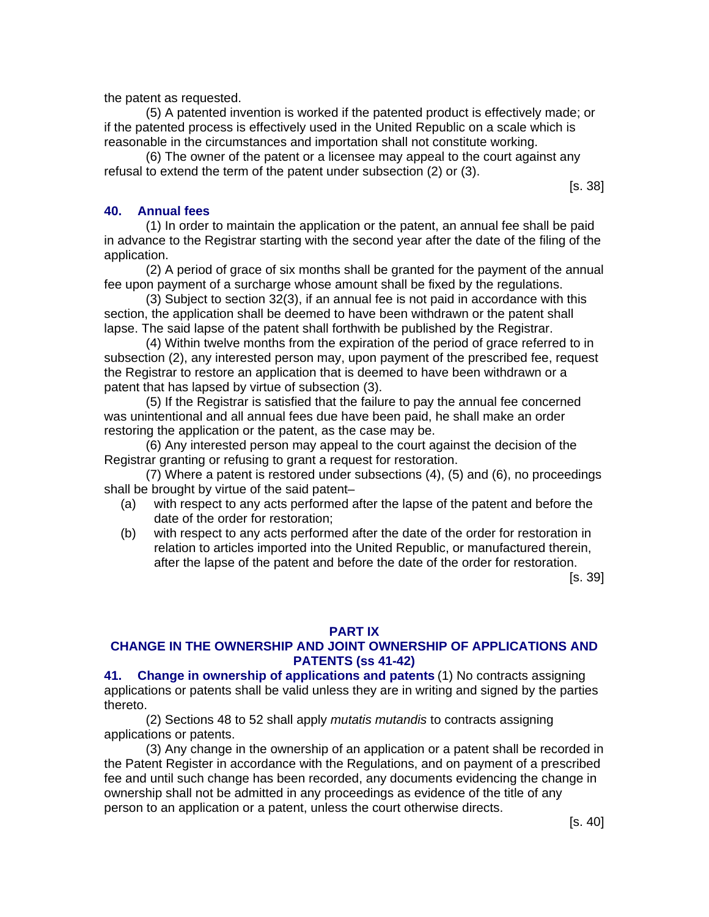the patent as requested.

(5) A patented invention is worked if the patented product is effectively made; or if the patented process is effectively used in the United Republic on a scale which is reasonable in the circumstances and importation shall not constitute working.

(6) The owner of the patent or a licensee may appeal to the court against any refusal to extend the term of the patent under subsection (2) or (3).

[s. 38]

## **40. Annual fees**

(1) In order to maintain the application or the patent, an annual fee shall be paid in advance to the Registrar starting with the second year after the date of the filing of the application.

(2) A period of grace of six months shall be granted for the payment of the annual fee upon payment of a surcharge whose amount shall be fixed by the regulations.

(3) Subject to section 32(3), if an annual fee is not paid in accordance with this section, the application shall be deemed to have been withdrawn or the patent shall lapse. The said lapse of the patent shall forthwith be published by the Registrar.

(4) Within twelve months from the expiration of the period of grace referred to in subsection (2), any interested person may, upon payment of the prescribed fee, request the Registrar to restore an application that is deemed to have been withdrawn or a patent that has lapsed by virtue of subsection (3).

(5) If the Registrar is satisfied that the failure to pay the annual fee concerned was unintentional and all annual fees due have been paid, he shall make an order restoring the application or the patent, as the case may be.

(6) Any interested person may appeal to the court against the decision of the Registrar granting or refusing to grant a request for restoration.

(7) Where a patent is restored under subsections (4), (5) and (6), no proceedings shall be brought by virtue of the said patent–

- (a) with respect to any acts performed after the lapse of the patent and before the date of the order for restoration;
- (b) with respect to any acts performed after the date of the order for restoration in relation to articles imported into the United Republic, or manufactured therein, after the lapse of the patent and before the date of the order for restoration.

[s. 39]

#### **PART IX**

## **CHANGE IN THE OWNERSHIP AND JOINT OWNERSHIP OF APPLICATIONS AND PATENTS (ss 41-42)**

**41. Change in ownership of applications and patents** (1) No contracts assigning applications or patents shall be valid unless they are in writing and signed by the parties thereto.

(2) Sections 48 to 52 shall apply *mutatis mutandis* to contracts assigning applications or patents.

(3) Any change in the ownership of an application or a patent shall be recorded in the Patent Register in accordance with the Regulations, and on payment of a prescribed fee and until such change has been recorded, any documents evidencing the change in ownership shall not be admitted in any proceedings as evidence of the title of any person to an application or a patent, unless the court otherwise directs.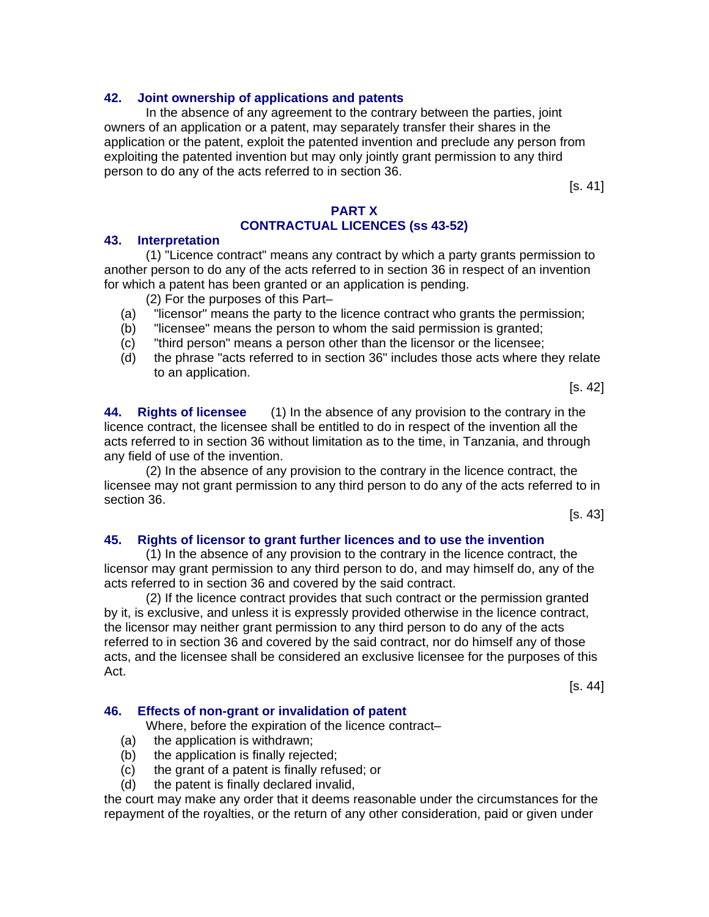#### **42. Joint ownership of applications and patents**

In the absence of any agreement to the contrary between the parties, joint owners of an application or a patent, may separately transfer their shares in the application or the patent, exploit the patented invention and preclude any person from exploiting the patented invention but may only jointly grant permission to any third person to do any of the acts referred to in section 36.

[s. 41]

#### **PART X CONTRACTUAL LICENCES (ss 43-52)**

#### **43. Interpretation**

(1) "Licence contract" means any contract by which a party grants permission to another person to do any of the acts referred to in section 36 in respect of an invention for which a patent has been granted or an application is pending.

(2) For the purposes of this Part–

- (a) "licensor" means the party to the licence contract who grants the permission;
- (b) "licensee" means the person to whom the said permission is granted;
- (c) "third person" means a person other than the licensor or the licensee;
- (d) the phrase "acts referred to in section 36" includes those acts where they relate to an application.

[s. 42]

**44. Rights of licensee** (1) In the absence of any provision to the contrary in the licence contract, the licensee shall be entitled to do in respect of the invention all the acts referred to in section 36 without limitation as to the time, in Tanzania, and through any field of use of the invention.

(2) In the absence of any provision to the contrary in the licence contract, the licensee may not grant permission to any third person to do any of the acts referred to in section 36.

 $|s. 43|$ 

#### **45. Rights of licensor to grant further licences and to use the invention**

(1) In the absence of any provision to the contrary in the licence contract, the licensor may grant permission to any third person to do, and may himself do, any of the acts referred to in section 36 and covered by the said contract.

(2) If the licence contract provides that such contract or the permission granted by it, is exclusive, and unless it is expressly provided otherwise in the licence contract, the licensor may neither grant permission to any third person to do any of the acts referred to in section 36 and covered by the said contract, nor do himself any of those acts, and the licensee shall be considered an exclusive licensee for the purposes of this Act.

[s. 44]

#### **46. Effects of non-grant or invalidation of patent**

Where, before the expiration of the licence contract–

- (a) the application is withdrawn;
- (b) the application is finally rejected;
- (c) the grant of a patent is finally refused; or
- (d) the patent is finally declared invalid,

the court may make any order that it deems reasonable under the circumstances for the repayment of the royalties, or the return of any other consideration, paid or given under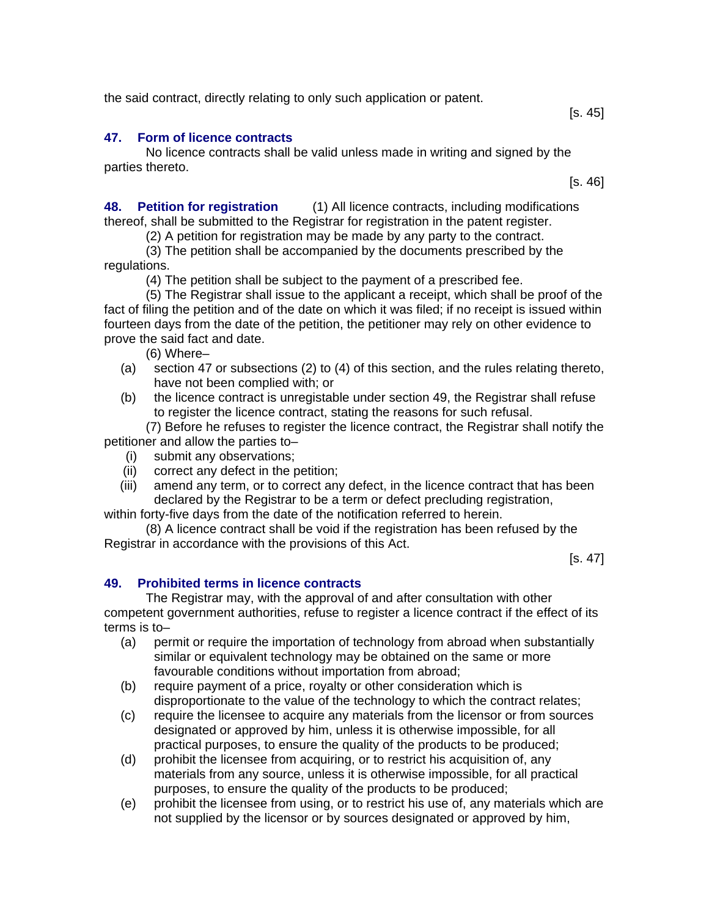the said contract, directly relating to only such application or patent.

## **47. Form of licence contracts**

#### No licence contracts shall be valid unless made in writing and signed by the parties thereto. [s. 46]

**48. Petition for registration** (1) All licence contracts, including modifications thereof, shall be submitted to the Registrar for registration in the patent register.

(2) A petition for registration may be made by any party to the contract.

(3) The petition shall be accompanied by the documents prescribed by the regulations.

(4) The petition shall be subject to the payment of a prescribed fee.

(5) The Registrar shall issue to the applicant a receipt, which shall be proof of the fact of filing the petition and of the date on which it was filed; if no receipt is issued within fourteen days from the date of the petition, the petitioner may rely on other evidence to prove the said fact and date.

(6) Where–

- (a) section 47 or subsections (2) to (4) of this section, and the rules relating thereto, have not been complied with; or
- (b) the licence contract is unregistable under section 49, the Registrar shall refuse to register the licence contract, stating the reasons for such refusal.

(7) Before he refuses to register the licence contract, the Registrar shall notify the petitioner and allow the parties to–

- (i) submit any observations;
- (ii) correct any defect in the petition;
- (iii) amend any term, or to correct any defect, in the licence contract that has been declared by the Registrar to be a term or defect precluding registration,

within forty-five days from the date of the notification referred to herein.

(8) A licence contract shall be void if the registration has been refused by the Registrar in accordance with the provisions of this Act.

[s. 47]

## **49. Prohibited terms in licence contracts**

The Registrar may, with the approval of and after consultation with other competent government authorities, refuse to register a licence contract if the effect of its terms is to–

- (a) permit or require the importation of technology from abroad when substantially similar or equivalent technology may be obtained on the same or more favourable conditions without importation from abroad;
- (b) require payment of a price, royalty or other consideration which is disproportionate to the value of the technology to which the contract relates;
- (c) require the licensee to acquire any materials from the licensor or from sources designated or approved by him, unless it is otherwise impossible, for all practical purposes, to ensure the quality of the products to be produced;
- (d) prohibit the licensee from acquiring, or to restrict his acquisition of, any materials from any source, unless it is otherwise impossible, for all practical purposes, to ensure the quality of the products to be produced;
- (e) prohibit the licensee from using, or to restrict his use of, any materials which are not supplied by the licensor or by sources designated or approved by him,

 $[s. 45]$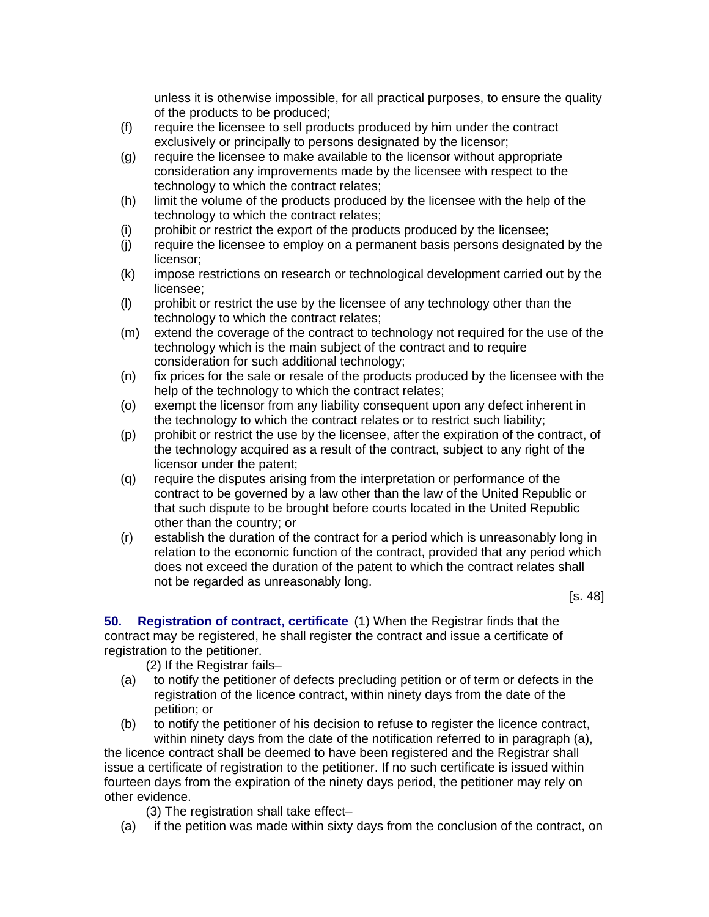unless it is otherwise impossible, for all practical purposes, to ensure the quality of the products to be produced;

- (f) require the licensee to sell products produced by him under the contract exclusively or principally to persons designated by the licensor;
- (g) require the licensee to make available to the licensor without appropriate consideration any improvements made by the licensee with respect to the technology to which the contract relates;
- (h) limit the volume of the products produced by the licensee with the help of the technology to which the contract relates;
- (i) prohibit or restrict the export of the products produced by the licensee;
- (j) require the licensee to employ on a permanent basis persons designated by the licensor;
- (k) impose restrictions on research or technological development carried out by the licensee;
- (l) prohibit or restrict the use by the licensee of any technology other than the technology to which the contract relates;
- (m) extend the coverage of the contract to technology not required for the use of the technology which is the main subject of the contract and to require consideration for such additional technology;
- (n) fix prices for the sale or resale of the products produced by the licensee with the help of the technology to which the contract relates;
- (o) exempt the licensor from any liability consequent upon any defect inherent in the technology to which the contract relates or to restrict such liability;
- (p) prohibit or restrict the use by the licensee, after the expiration of the contract, of the technology acquired as a result of the contract, subject to any right of the licensor under the patent;
- (q) require the disputes arising from the interpretation or performance of the contract to be governed by a law other than the law of the United Republic or that such dispute to be brought before courts located in the United Republic other than the country; or
- (r) establish the duration of the contract for a period which is unreasonably long in relation to the economic function of the contract, provided that any period which does not exceed the duration of the patent to which the contract relates shall not be regarded as unreasonably long.

[s. 48]

**50. Registration of contract, certificate** (1) When the Registrar finds that the contract may be registered, he shall register the contract and issue a certificate of registration to the petitioner.

(2) If the Registrar fails–

- (a) to notify the petitioner of defects precluding petition or of term or defects in the registration of the licence contract, within ninety days from the date of the petition; or
- (b) to notify the petitioner of his decision to refuse to register the licence contract, within ninety days from the date of the notification referred to in paragraph (a),

the licence contract shall be deemed to have been registered and the Registrar shall issue a certificate of registration to the petitioner. If no such certificate is issued within fourteen days from the expiration of the ninety days period, the petitioner may rely on other evidence.

- (3) The registration shall take effect–
- (a) if the petition was made within sixty days from the conclusion of the contract, on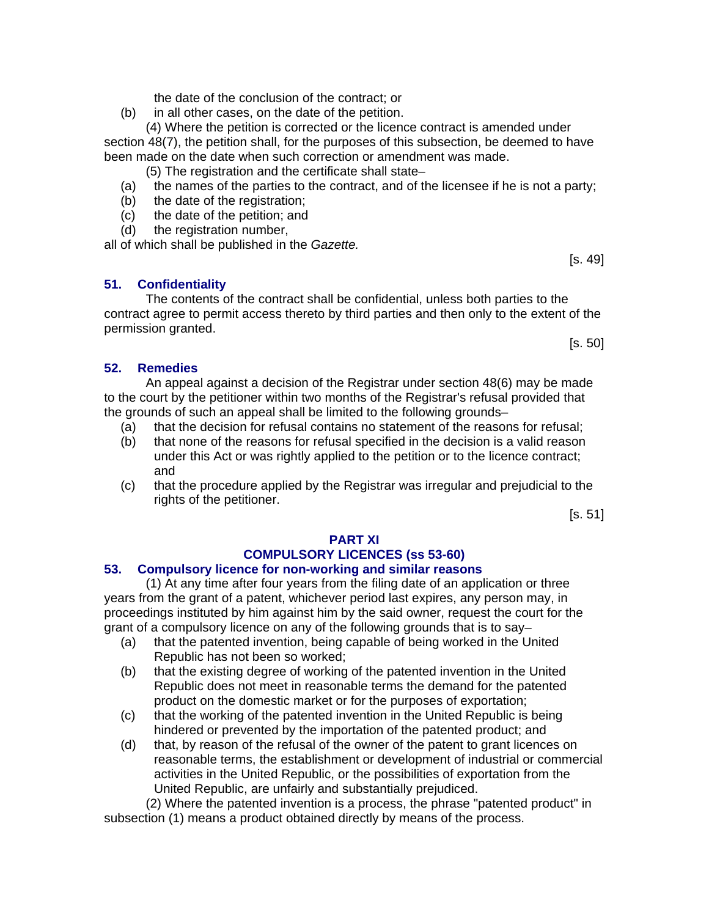the date of the conclusion of the contract; or

(b) in all other cases, on the date of the petition.

(4) Where the petition is corrected or the licence contract is amended under section 48(7), the petition shall, for the purposes of this subsection, be deemed to have been made on the date when such correction or amendment was made.

(5) The registration and the certificate shall state–

- (a) the names of the parties to the contract, and of the licensee if he is not a party;
- (b) the date of the registration;
- (c) the date of the petition; and
- (d) the registration number,

all of which shall be published in the *Gazette.* 

## **51. Confidentiality**

The contents of the contract shall be confidential, unless both parties to the contract agree to permit access thereto by third parties and then only to the extent of the permission granted.

[s. 50]

[s. 49]

#### **52. Remedies**

An appeal against a decision of the Registrar under section 48(6) may be made to the court by the petitioner within two months of the Registrar's refusal provided that the grounds of such an appeal shall be limited to the following grounds–

- (a) that the decision for refusal contains no statement of the reasons for refusal;
- (b) that none of the reasons for refusal specified in the decision is a valid reason under this Act or was rightly applied to the petition or to the licence contract; and
- (c) that the procedure applied by the Registrar was irregular and prejudicial to the rights of the petitioner.

[s. 51]

## **PART XI**

# **COMPULSORY LICENCES (ss 53-60)**

## **53. Compulsory licence for non-working and similar reasons**

(1) At any time after four years from the filing date of an application or three years from the grant of a patent, whichever period last expires, any person may, in proceedings instituted by him against him by the said owner, request the court for the grant of a compulsory licence on any of the following grounds that is to say–

- (a) that the patented invention, being capable of being worked in the United Republic has not been so worked;
- (b) that the existing degree of working of the patented invention in the United Republic does not meet in reasonable terms the demand for the patented product on the domestic market or for the purposes of exportation;
- (c) that the working of the patented invention in the United Republic is being hindered or prevented by the importation of the patented product; and
- (d) that, by reason of the refusal of the owner of the patent to grant licences on reasonable terms, the establishment or development of industrial or commercial activities in the United Republic, or the possibilities of exportation from the United Republic, are unfairly and substantially prejudiced.

(2) Where the patented invention is a process, the phrase "patented product" in subsection (1) means a product obtained directly by means of the process.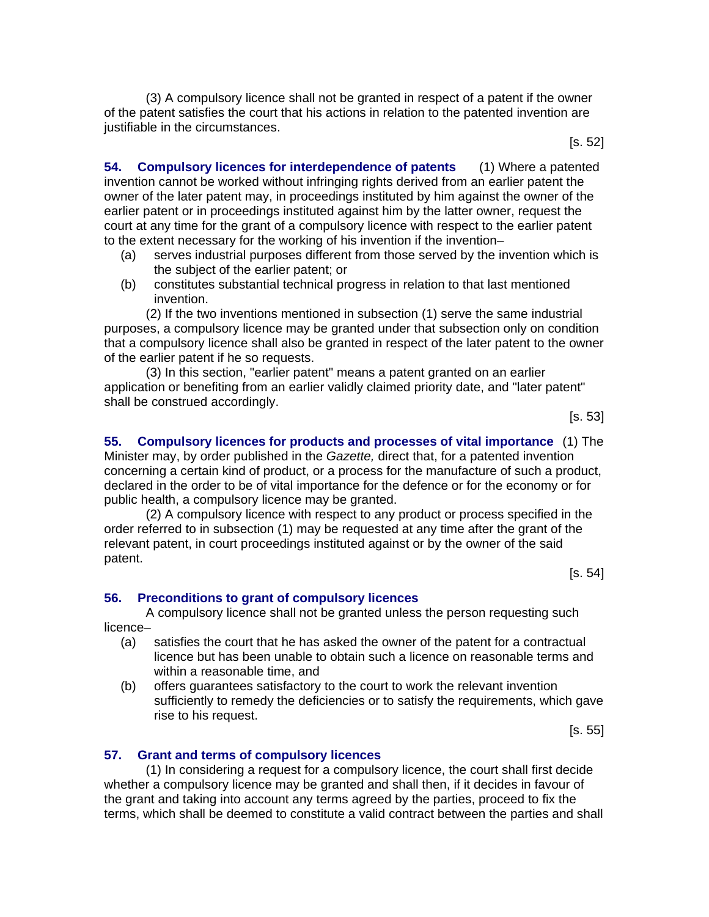(3) A compulsory licence shall not be granted in respect of a patent if the owner of the patent satisfies the court that his actions in relation to the patented invention are justifiable in the circumstances.

[s. 52]

**54. Compulsory licences for interdependence of patents** (1) Where a patented invention cannot be worked without infringing rights derived from an earlier patent the owner of the later patent may, in proceedings instituted by him against the owner of the earlier patent or in proceedings instituted against him by the latter owner, request the court at any time for the grant of a compulsory licence with respect to the earlier patent to the extent necessary for the working of his invention if the invention–

- (a) serves industrial purposes different from those served by the invention which is the subject of the earlier patent; or
- (b) constitutes substantial technical progress in relation to that last mentioned invention.

(2) If the two inventions mentioned in subsection (1) serve the same industrial purposes, a compulsory licence may be granted under that subsection only on condition that a compulsory licence shall also be granted in respect of the later patent to the owner of the earlier patent if he so requests.

(3) In this section, "earlier patent" means a patent granted on an earlier application or benefiting from an earlier validly claimed priority date, and "later patent" shall be construed accordingly.

[s. 53]

**55. Compulsory licences for products and processes of vital importance** (1) The Minister may, by order published in the *Gazette,* direct that, for a patented invention concerning a certain kind of product, or a process for the manufacture of such a product, declared in the order to be of vital importance for the defence or for the economy or for public health, a compulsory licence may be granted.

(2) A compulsory licence with respect to any product or process specified in the order referred to in subsection (1) may be requested at any time after the grant of the relevant patent, in court proceedings instituted against or by the owner of the said patent.

[s. 54]

#### **56. Preconditions to grant of compulsory licences**

A compulsory licence shall not be granted unless the person requesting such licence–

- (a) satisfies the court that he has asked the owner of the patent for a contractual licence but has been unable to obtain such a licence on reasonable terms and within a reasonable time, and
- (b) offers guarantees satisfactory to the court to work the relevant invention sufficiently to remedy the deficiencies or to satisfy the requirements, which gave rise to his request.

[s. 55]

#### **57. Grant and terms of compulsory licences**

(1) In considering a request for a compulsory licence, the court shall first decide whether a compulsory licence may be granted and shall then, if it decides in favour of the grant and taking into account any terms agreed by the parties, proceed to fix the terms, which shall be deemed to constitute a valid contract between the parties and shall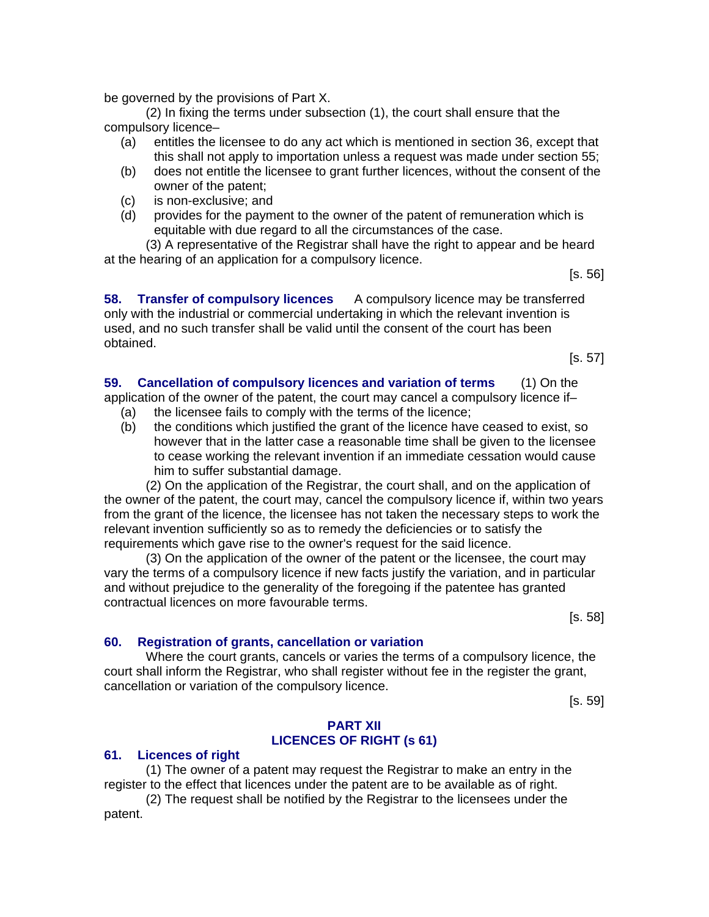be governed by the provisions of Part X.

(2) In fixing the terms under subsection (1), the court shall ensure that the compulsory licence–

- (a) entitles the licensee to do any act which is mentioned in section 36, except that this shall not apply to importation unless a request was made under section 55;
- (b) does not entitle the licensee to grant further licences, without the consent of the owner of the patent;
- (c) is non-exclusive; and
- (d) provides for the payment to the owner of the patent of remuneration which is equitable with due regard to all the circumstances of the case.

(3) A representative of the Registrar shall have the right to appear and be heard at the hearing of an application for a compulsory licence.

[s. 56]

**58. Transfer of compulsory licences** A compulsory licence may be transferred only with the industrial or commercial undertaking in which the relevant invention is used, and no such transfer shall be valid until the consent of the court has been obtained.

[s. 57]

**59. Cancellation of compulsory licences and variation of terms** (1) On the application of the owner of the patent, the court may cancel a compulsory licence if– (a) the licensee fails to comply with the terms of the licence;

(b) the conditions which justified the grant of the licence have ceased to exist, so however that in the latter case a reasonable time shall be given to the licensee to cease working the relevant invention if an immediate cessation would cause him to suffer substantial damage.

(2) On the application of the Registrar, the court shall, and on the application of the owner of the patent, the court may, cancel the compulsory licence if, within two years from the grant of the licence, the licensee has not taken the necessary steps to work the relevant invention sufficiently so as to remedy the deficiencies or to satisfy the requirements which gave rise to the owner's request for the said licence.

(3) On the application of the owner of the patent or the licensee, the court may vary the terms of a compulsory licence if new facts justify the variation, and in particular and without prejudice to the generality of the foregoing if the patentee has granted contractual licences on more favourable terms.

[s. 58]

#### **60. Registration of grants, cancellation or variation**

Where the court grants, cancels or varies the terms of a compulsory licence, the court shall inform the Registrar, who shall register without fee in the register the grant, cancellation or variation of the compulsory licence.

[s. 59]

#### **PART XII LICENCES OF RIGHT (s 61)**

#### **61. Licences of right**

(1) The owner of a patent may request the Registrar to make an entry in the register to the effect that licences under the patent are to be available as of right.

(2) The request shall be notified by the Registrar to the licensees under the patent.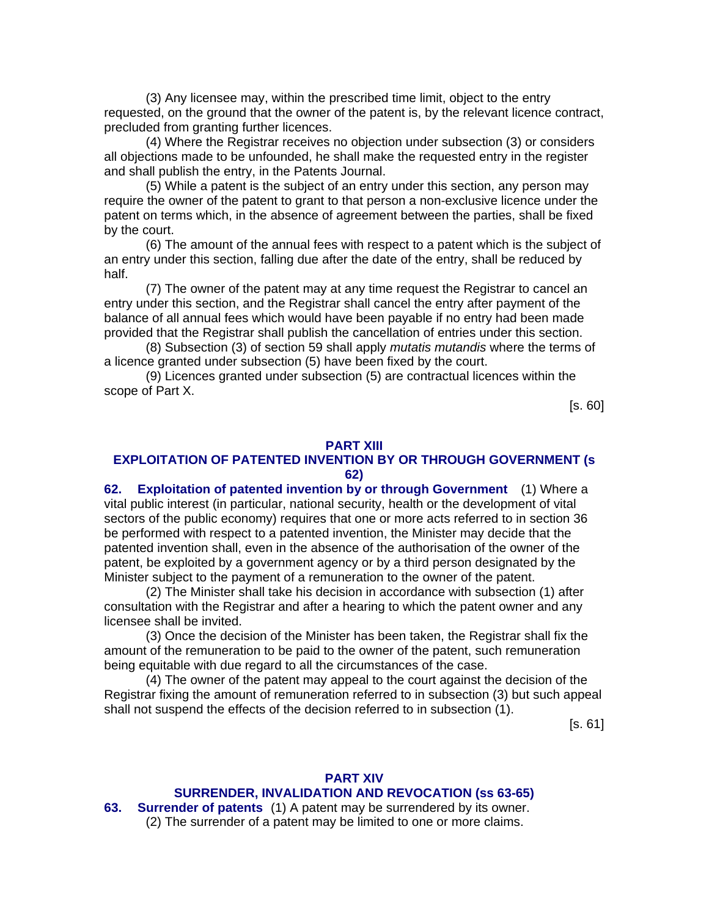(3) Any licensee may, within the prescribed time limit, object to the entry requested, on the ground that the owner of the patent is, by the relevant licence contract, precluded from granting further licences.

(4) Where the Registrar receives no objection under subsection (3) or considers all objections made to be unfounded, he shall make the requested entry in the register and shall publish the entry, in the Patents Journal.

(5) While a patent is the subject of an entry under this section, any person may require the owner of the patent to grant to that person a non-exclusive licence under the patent on terms which, in the absence of agreement between the parties, shall be fixed by the court.

(6) The amount of the annual fees with respect to a patent which is the subject of an entry under this section, falling due after the date of the entry, shall be reduced by half.

(7) The owner of the patent may at any time request the Registrar to cancel an entry under this section, and the Registrar shall cancel the entry after payment of the balance of all annual fees which would have been payable if no entry had been made provided that the Registrar shall publish the cancellation of entries under this section.

(8) Subsection (3) of section 59 shall apply *mutatis mutandis* where the terms of a licence granted under subsection (5) have been fixed by the court.

(9) Licences granted under subsection (5) are contractual licences within the scope of Part X.

[s. 60]

#### **PART XIII**

#### **EXPLOITATION OF PATENTED INVENTION BY OR THROUGH GOVERNMENT (s 62)**

**62. Exploitation of patented invention by or through Government** (1) Where a vital public interest (in particular, national security, health or the development of vital sectors of the public economy) requires that one or more acts referred to in section 36 be performed with respect to a patented invention, the Minister may decide that the patented invention shall, even in the absence of the authorisation of the owner of the patent, be exploited by a government agency or by a third person designated by the Minister subject to the payment of a remuneration to the owner of the patent.

(2) The Minister shall take his decision in accordance with subsection (1) after consultation with the Registrar and after a hearing to which the patent owner and any licensee shall be invited.

(3) Once the decision of the Minister has been taken, the Registrar shall fix the amount of the remuneration to be paid to the owner of the patent, such remuneration being equitable with due regard to all the circumstances of the case.

(4) The owner of the patent may appeal to the court against the decision of the Registrar fixing the amount of remuneration referred to in subsection (3) but such appeal shall not suspend the effects of the decision referred to in subsection (1).

[s. 61]

# **PART XIV SURRENDER, INVALIDATION AND REVOCATION (ss 63-65)**

**63. Surrender of patents** (1) A patent may be surrendered by its owner. (2) The surrender of a patent may be limited to one or more claims.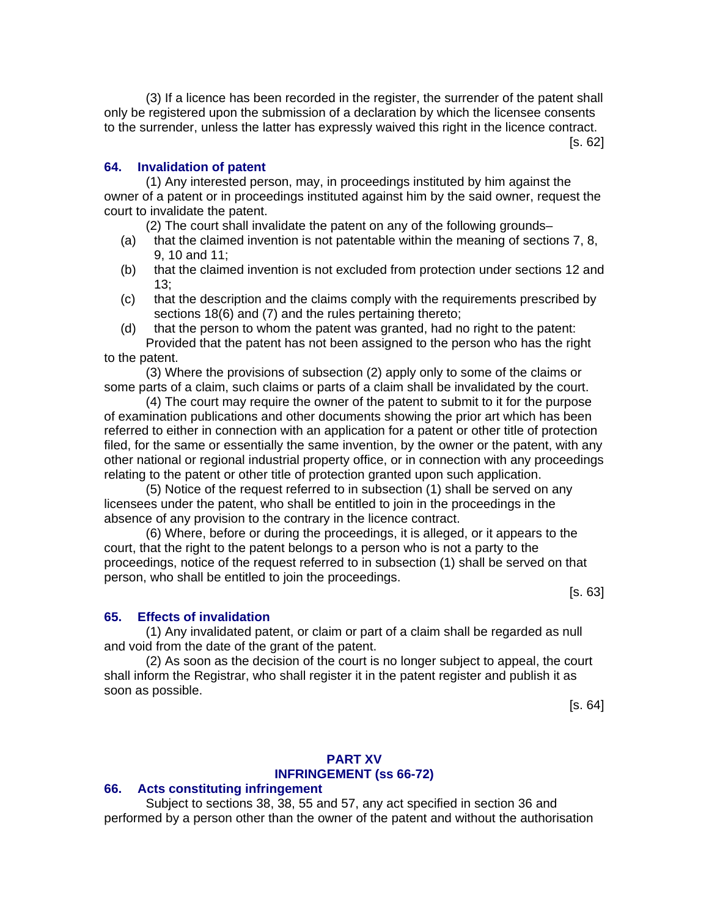(3) If a licence has been recorded in the register, the surrender of the patent shall only be registered upon the submission of a declaration by which the licensee consents to the surrender, unless the latter has expressly waived this right in the licence contract.

[s. 62]

#### **64. Invalidation of patent**

(1) Any interested person, may, in proceedings instituted by him against the owner of a patent or in proceedings instituted against him by the said owner, request the court to invalidate the patent.

(2) The court shall invalidate the patent on any of the following grounds–

- (a) that the claimed invention is not patentable within the meaning of sections 7, 8, 9, 10 and 11;
- (b) that the claimed invention is not excluded from protection under sections 12 and 13;
- (c) that the description and the claims comply with the requirements prescribed by sections 18(6) and (7) and the rules pertaining thereto;
- (d) that the person to whom the patent was granted, had no right to the patent:

Provided that the patent has not been assigned to the person who has the right to the patent.

(3) Where the provisions of subsection (2) apply only to some of the claims or some parts of a claim, such claims or parts of a claim shall be invalidated by the court.

(4) The court may require the owner of the patent to submit to it for the purpose of examination publications and other documents showing the prior art which has been referred to either in connection with an application for a patent or other title of protection filed, for the same or essentially the same invention, by the owner or the patent, with any other national or regional industrial property office, or in connection with any proceedings relating to the patent or other title of protection granted upon such application.

(5) Notice of the request referred to in subsection (1) shall be served on any licensees under the patent, who shall be entitled to join in the proceedings in the absence of any provision to the contrary in the licence contract.

(6) Where, before or during the proceedings, it is alleged, or it appears to the court, that the right to the patent belongs to a person who is not a party to the proceedings, notice of the request referred to in subsection (1) shall be served on that person, who shall be entitled to join the proceedings.

[s. 63]

#### **65. Effects of invalidation**

(1) Any invalidated patent, or claim or part of a claim shall be regarded as null and void from the date of the grant of the patent.

(2) As soon as the decision of the court is no longer subject to appeal, the court shall inform the Registrar, who shall register it in the patent register and publish it as soon as possible.

[s. 64]

#### **PART XV INFRINGEMENT (ss 66-72)**

#### **66. Acts constituting infringement**

Subject to sections 38, 38, 55 and 57, any act specified in section 36 and performed by a person other than the owner of the patent and without the authorisation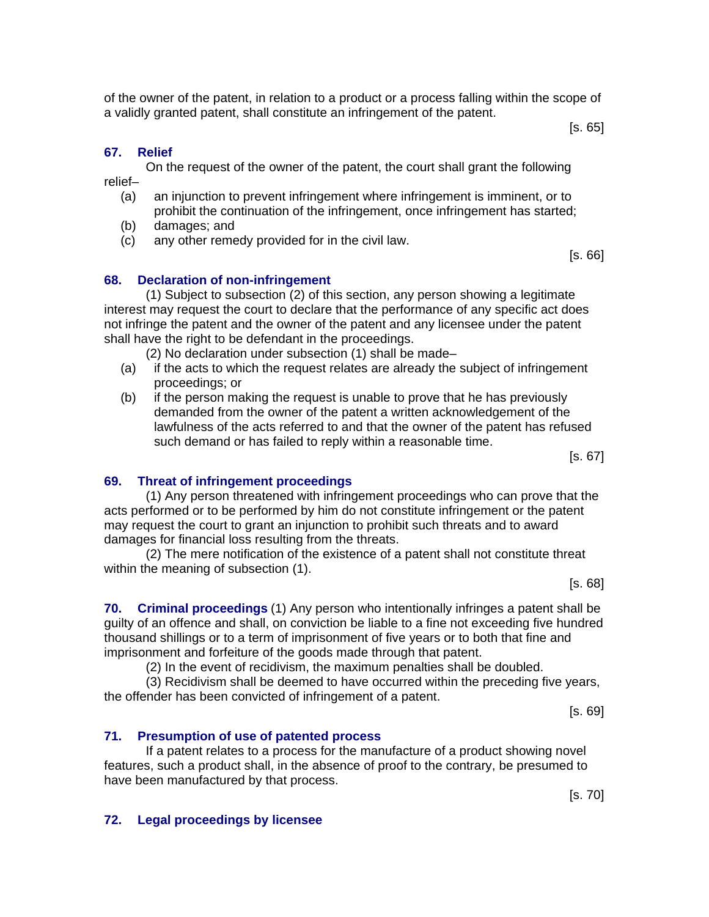of the owner of the patent, in relation to a product or a process falling within the scope of a validly granted patent, shall constitute an infringement of the patent.

[s. 65]

## **67. Relief**

On the request of the owner of the patent, the court shall grant the following relief–

- (a) an injunction to prevent infringement where infringement is imminent, or to prohibit the continuation of the infringement, once infringement has started;
- (b) damages; and
- (c) any other remedy provided for in the civil law.

[s. 66]

## **68. Declaration of non-infringement**

(1) Subject to subsection (2) of this section, any person showing a legitimate interest may request the court to declare that the performance of any specific act does not infringe the patent and the owner of the patent and any licensee under the patent shall have the right to be defendant in the proceedings.

(2) No declaration under subsection (1) shall be made–

- (a) if the acts to which the request relates are already the subject of infringement proceedings; or
- (b) if the person making the request is unable to prove that he has previously demanded from the owner of the patent a written acknowledgement of the lawfulness of the acts referred to and that the owner of the patent has refused such demand or has failed to reply within a reasonable time.

[s. 67]

## **69. Threat of infringement proceedings**

(1) Any person threatened with infringement proceedings who can prove that the acts performed or to be performed by him do not constitute infringement or the patent may request the court to grant an injunction to prohibit such threats and to award damages for financial loss resulting from the threats.

(2) The mere notification of the existence of a patent shall not constitute threat within the meaning of subsection (1).

[s. 68]

**70. Criminal proceedings** (1) Any person who intentionally infringes a patent shall be guilty of an offence and shall, on conviction be liable to a fine not exceeding five hundred thousand shillings or to a term of imprisonment of five years or to both that fine and imprisonment and forfeiture of the goods made through that patent.

(2) In the event of recidivism, the maximum penalties shall be doubled.

(3) Recidivism shall be deemed to have occurred within the preceding five years, the offender has been convicted of infringement of a patent.

[s. 69]

## **71. Presumption of use of patented process**

If a patent relates to a process for the manufacture of a product showing novel features, such a product shall, in the absence of proof to the contrary, be presumed to have been manufactured by that process.

[s. 70]

#### **72. Legal proceedings by licensee**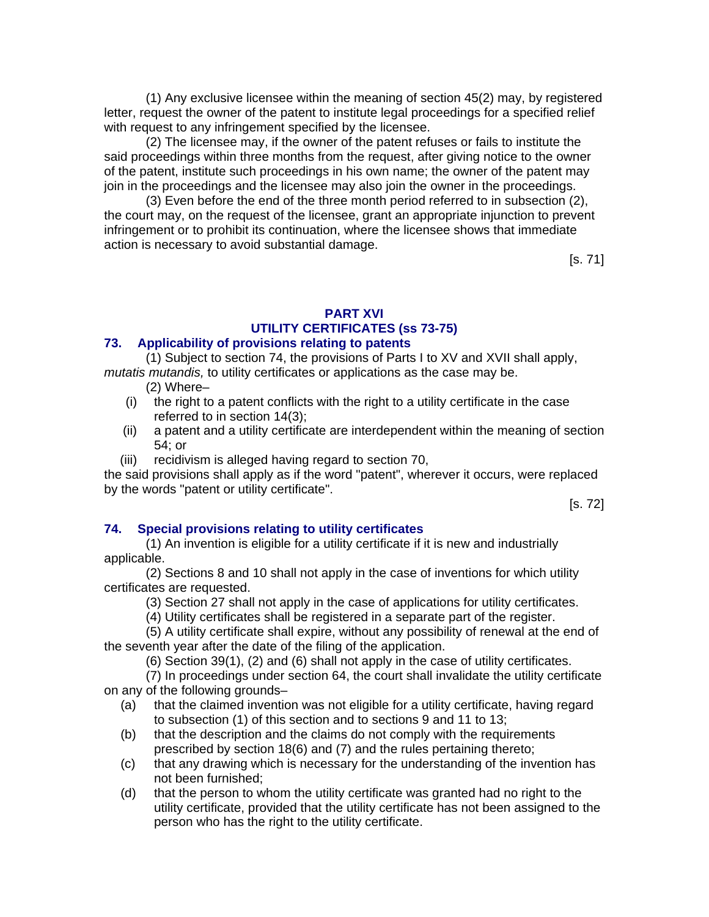(1) Any exclusive licensee within the meaning of section 45(2) may, by registered letter, request the owner of the patent to institute legal proceedings for a specified relief with request to any infringement specified by the licensee.

(2) The licensee may, if the owner of the patent refuses or fails to institute the said proceedings within three months from the request, after giving notice to the owner of the patent, institute such proceedings in his own name; the owner of the patent may join in the proceedings and the licensee may also join the owner in the proceedings.

(3) Even before the end of the three month period referred to in subsection (2), the court may, on the request of the licensee, grant an appropriate injunction to prevent infringement or to prohibit its continuation, where the licensee shows that immediate action is necessary to avoid substantial damage.

[s. 71]

# **PART XVI UTILITY CERTIFICATES (ss 73-75)**

## **73. Applicability of provisions relating to patents**

(1) Subject to section 74, the provisions of Parts I to XV and XVII shall apply, *mutatis mutandis,* to utility certificates or applications as the case may be.

- (2) Where–
- (i) the right to a patent conflicts with the right to a utility certificate in the case referred to in section 14(3);
- (ii) a patent and a utility certificate are interdependent within the meaning of section 54; or
- (iii) recidivism is alleged having regard to section 70,

the said provisions shall apply as if the word "patent", wherever it occurs, were replaced by the words "patent or utility certificate".

[s. 72]

## **74. Special provisions relating to utility certificates**

(1) An invention is eligible for a utility certificate if it is new and industrially applicable.

(2) Sections 8 and 10 shall not apply in the case of inventions for which utility certificates are requested.

(3) Section 27 shall not apply in the case of applications for utility certificates.

(4) Utility certificates shall be registered in a separate part of the register.

(5) A utility certificate shall expire, without any possibility of renewal at the end of the seventh year after the date of the filing of the application.

(6) Section 39(1), (2) and (6) shall not apply in the case of utility certificates.

(7) In proceedings under section 64, the court shall invalidate the utility certificate on any of the following grounds–

- (a) that the claimed invention was not eligible for a utility certificate, having regard to subsection (1) of this section and to sections 9 and 11 to 13;
- (b) that the description and the claims do not comply with the requirements prescribed by section 18(6) and (7) and the rules pertaining thereto;
- (c) that any drawing which is necessary for the understanding of the invention has not been furnished;
- (d) that the person to whom the utility certificate was granted had no right to the utility certificate, provided that the utility certificate has not been assigned to the person who has the right to the utility certificate.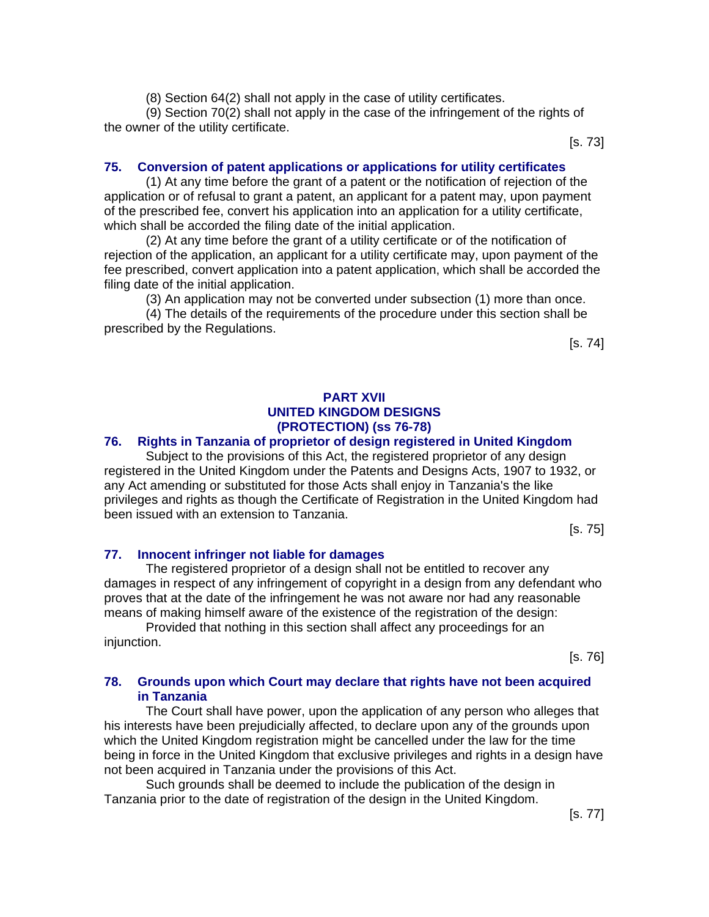(8) Section 64(2) shall not apply in the case of utility certificates.

(9) Section 70(2) shall not apply in the case of the infringement of the rights of the owner of the utility certificate.

[s. 73]

#### **75. Conversion of patent applications or applications for utility certificates**

(1) At any time before the grant of a patent or the notification of rejection of the application or of refusal to grant a patent, an applicant for a patent may, upon payment of the prescribed fee, convert his application into an application for a utility certificate, which shall be accorded the filing date of the initial application.

(2) At any time before the grant of a utility certificate or of the notification of rejection of the application, an applicant for a utility certificate may, upon payment of the fee prescribed, convert application into a patent application, which shall be accorded the filing date of the initial application.

(3) An application may not be converted under subsection (1) more than once.

(4) The details of the requirements of the procedure under this section shall be prescribed by the Regulations.

[s. 74]

#### **PART XVII UNITED KINGDOM DESIGNS (PROTECTION) (ss 76-78)**

#### **76. Rights in Tanzania of proprietor of design registered in United Kingdom**

Subject to the provisions of this Act, the registered proprietor of any design registered in the United Kingdom under the Patents and Designs Acts, 1907 to 1932, or any Act amending or substituted for those Acts shall enjoy in Tanzania's the like privileges and rights as though the Certificate of Registration in the United Kingdom had been issued with an extension to Tanzania.

[s. 75]

#### **77. Innocent infringer not liable for damages**

The registered proprietor of a design shall not be entitled to recover any damages in respect of any infringement of copyright in a design from any defendant who proves that at the date of the infringement he was not aware nor had any reasonable means of making himself aware of the existence of the registration of the design:

Provided that nothing in this section shall affect any proceedings for an injunction.

[s. 76]

#### **78. Grounds upon which Court may declare that rights have not been acquired in Tanzania**

The Court shall have power, upon the application of any person who alleges that his interests have been prejudicially affected, to declare upon any of the grounds upon which the United Kingdom registration might be cancelled under the law for the time being in force in the United Kingdom that exclusive privileges and rights in a design have not been acquired in Tanzania under the provisions of this Act.

Such grounds shall be deemed to include the publication of the design in Tanzania prior to the date of registration of the design in the United Kingdom.